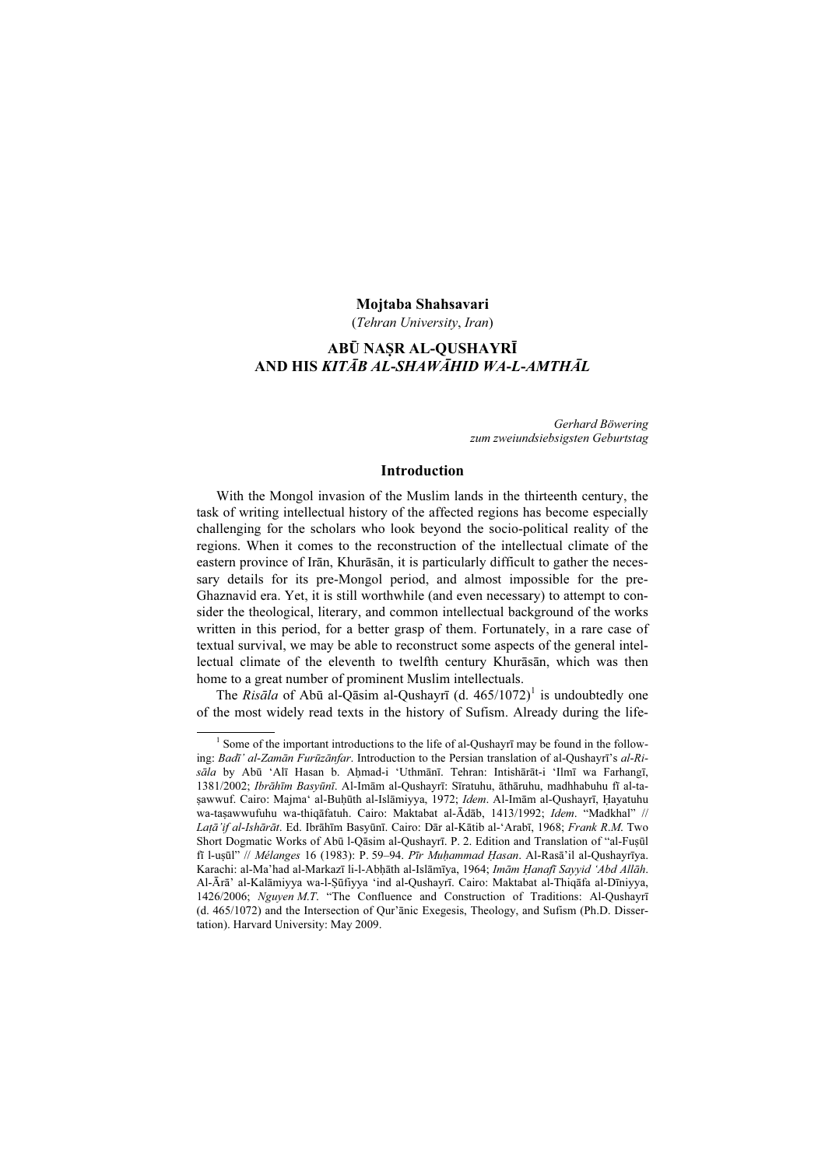## Mojtaba Shahsavari

(Tehran University, Iran)

## ABŪ NAṢR AL-QUSHAYRĪ AND HIS KITĀB AL-SHAWĀHID WA-L-AMTHĀL

Gerhard Böwering zum zweiundsiebsigsten Geburtstag

## Introduction

With the Mongol invasion of the Muslim lands in the thirteenth century, the task of writing intellectual history of the affected regions has become especially challenging for the scholars who look beyond the socio-political reality of the regions. When it comes to the reconstruction of the intellectual climate of the eastern province of Irān, Khurāsān, it is particularly difficult to gather the necessary details for its pre-Mongol period, and almost impossible for the pre-Ghaznavid era. Yet, it is still worthwhile (and even necessary) to attempt to consider the theological, literary, and common intellectual background of the works written in this period, for a better grasp of them. Fortunately, in a rare case of textual survival, we may be able to reconstruct some aspects of the general intellectual climate of the eleventh to twelfth century Khurāsān, which was then home to a great number of prominent Muslim intellectuals.

The Risāla of Abū al-Qāsim al-Qushayrī (d.  $465/1072$ )<sup>1</sup> is undoubtedly one of the most widely read texts in the history of Sufism. Already during the life-

<sup>&</sup>lt;sup>1</sup> Some of the important introductions to the life of al-Qushayrī may be found in the following: Badī' al-Zamān Furūzānfar. Introduction to the Persian translation of al-Qushayrī's al-Risāla by Abū 'Alī Hasan b. Aḥmad-i 'Uthmānī. Tehran: Intishārāt-i 'Ilmī wa Farhangī, 1381/2002; Ibrāhīm Basyūnī. Al-Imām al-Qushayrī: Sīratuhu, āthāruhu, madhhabuhu fī al-tasawwuf. Cairo: Majma' al-Buḥūth al-Islāmiyya, 1972; Idem. Al-Imām al-Qushayrī, Hayatuhu wa-taṣawwufuhu wa-thiqāfatuh. Cairo: Maktabat al-Ādāb, 1413/1992; Idem. "Madkhal" // Latā'if al-Ishārāt. Ed. Ibrāhīm Basyūnī. Cairo: Dār al-Kātib al-'Arabī, 1968; Frank R.M. Two Short Dogmatic Works of Abū l-Qāsim al-Qushayrī. P. 2. Edition and Translation of "al-Fuṣūl fī l-uṣūl" // Mélanges 16 (1983): P. 59–94. Pīr Muḥammad Ḥasan. Al-Rasā'il al-Qushayrīya. Karachi: al-Ma'had al-Markazī li-l-Abḥāth al-Islāmīya, 1964; Imām Ḥanafī Sayyid 'Abd Allāh. Al-Ārā' al-Kalāmiyya wa-l-Ṣūfiyya 'ind al-Qushayrī. Cairo: Maktabat al-Thiqāfa al-Dīniyya, 1426/2006; Nguyen M.T. "The Confluence and Construction of Traditions: Al-Qushayrī (d. 465/1072) and the Intersection of Qur'ānic Exegesis, Theology, and Sufism (Ph.D. Dissertation). Harvard University: May 2009.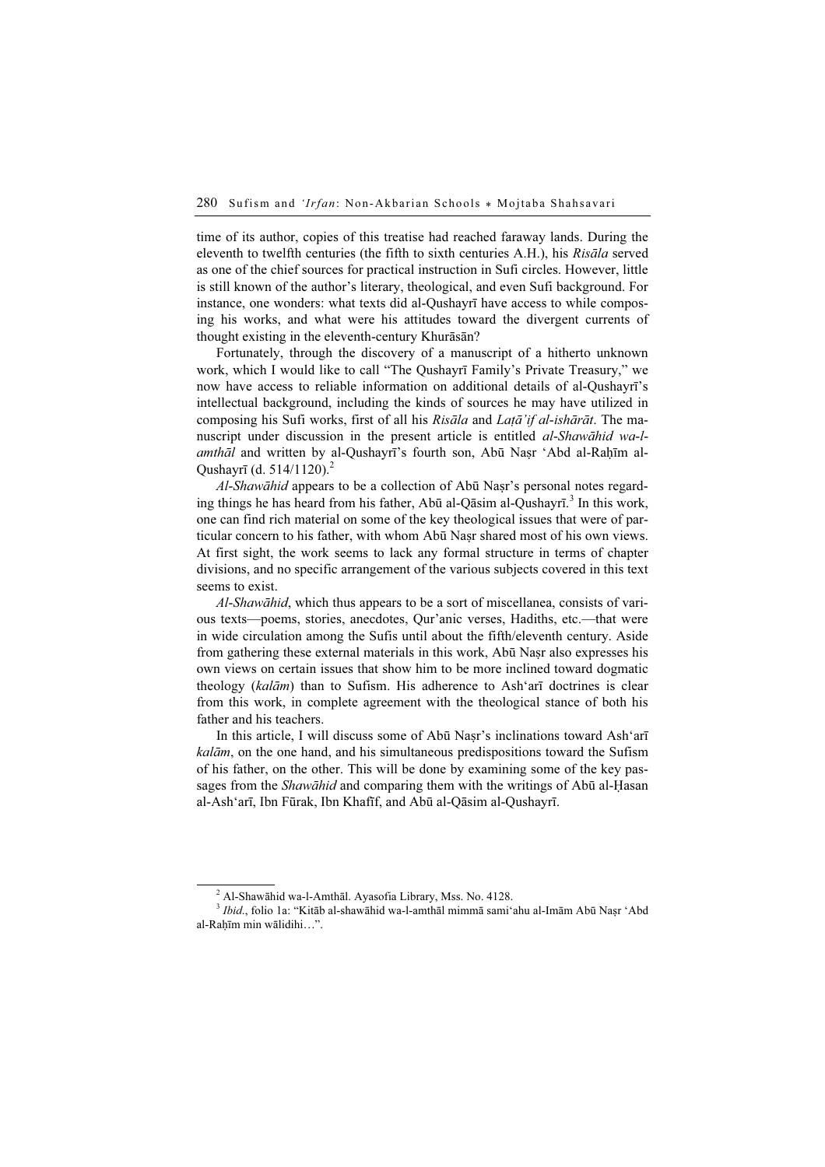time of its author, copies of this treatise had reached faraway lands. During the eleventh to twelfth centuries (the fifth to sixth centuries A.H.), his Risāla served as one of the chief sources for practical instruction in Sufi circles. However, little is still known of the author's literary, theological, and even Sufi background. For instance, one wonders: what texts did al-Qushayrī have access to while composing his works, and what were his attitudes toward the divergent currents of thought existing in the eleventh-century Khurāsān?

Fortunately, through the discovery of a manuscript of a hitherto unknown work, which I would like to call "The Qushayrī Family's Private Treasury," we now have access to reliable information on additional details of al-Qushayrī's intellectual background, including the kinds of sources he may have utilized in composing his Sufi works, first of all his Risāla and Latā'if al-ishārāt. The manuscript under discussion in the present article is entitled *al-Shawāhid wa-l*amthāl and written by al-Qushayrī's fourth son, Abū Naṣr 'Abd al-Raḥīm al-Qushayrī (d. 514/1120).<sup>2</sup>

Al-Shawāhid appears to be a collection of Abū Naṣr's personal notes regarding things he has heard from his father, Abū al-Qāsim al-Qushayrī.<sup>3</sup> In this work, one can find rich material on some of the key theological issues that were of particular concern to his father, with whom Abū Naṣr shared most of his own views. At first sight, the work seems to lack any formal structure in terms of chapter divisions, and no specific arrangement of the various subjects covered in this text seems to exist.

Al-Shawāhid, which thus appears to be a sort of miscellanea, consists of various texts—poems, stories, anecdotes, Qur'anic verses, Hadiths, etc.—that were in wide circulation among the Sufis until about the fifth/eleventh century. Aside from gathering these external materials in this work, Abū Naṣr also expresses his own views on certain issues that show him to be more inclined toward dogmatic theology (kalām) than to Sufism. His adherence to Ash'arī doctrines is clear from this work, in complete agreement with the theological stance of both his father and his teachers.

In this article, I will discuss some of Abū Nasr's inclinations toward Ash'arī kalām, on the one hand, and his simultaneous predispositions toward the Sufism of his father, on the other. This will be done by examining some of the key passages from the Shawāhid and comparing them with the writings of Abū al-Ḥasan al-Ash'arī, Ibn Fūrak, Ibn Khafīf, and Abū al-Qāsim al-Qushayrī.

 $2^{2}$  Al-Shawāhid wa-l-Amthāl. Ayasofia Library, Mss. No. 4128.

<sup>&</sup>lt;sup>3</sup> Ibid., folio 1a: "Kitāb al-shawāhid wa-l-amthāl mimmā sami'ahu al-Imām Abū Nașr 'Abd al-Raḥīm min wālidihi…".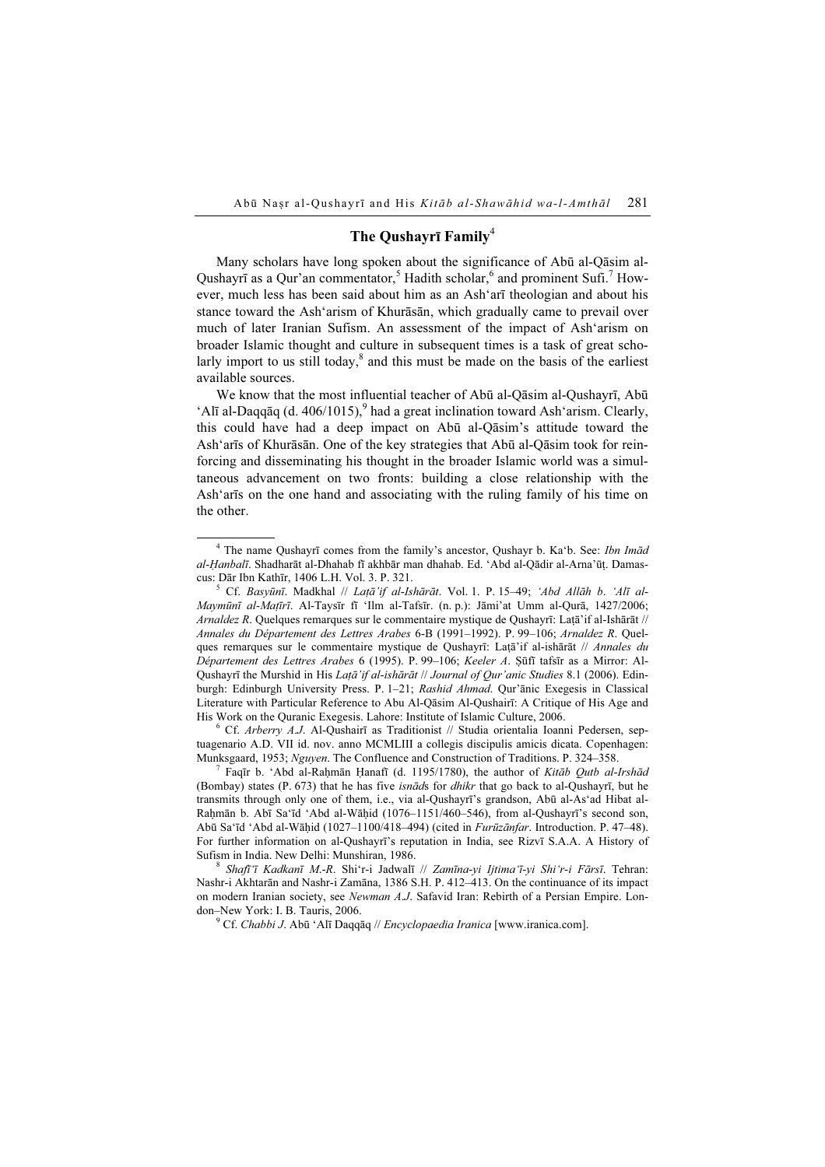# The Qushayrī Family<sup>4</sup>

Many scholars have long spoken about the significance of Abū al-Qāsim al-Qushayrī as a Qur'an commentator,<sup>5</sup> Hadith scholar,<sup>6</sup> and prominent Sufi.<sup>7</sup> However, much less has been said about him as an Ash'arī theologian and about his stance toward the Ash'arism of Khurāsān, which gradually came to prevail over much of later Iranian Sufism. An assessment of the impact of Ash'arism on broader Islamic thought and culture in subsequent times is a task of great scholarly import to us still today,<sup>8</sup> and this must be made on the basis of the earliest available sources.

We know that the most influential teacher of Abū al-Qāsim al-Qushayrī, Abū 'Alī al-Daqqāq (d. 406/1015),  $9$  had a great inclination toward Ash'arism. Clearly, this could have had a deep impact on Abū al-Qāsim's attitude toward the Ash'arīs of Khurāsān. One of the key strategies that Abū al-Qāsim took for reinforcing and disseminating his thought in the broader Islamic world was a simultaneous advancement on two fronts: building a close relationship with the Ash'arīs on the one hand and associating with the ruling family of his time on the other.

<sup>T</sup> Faqīr b. 'Abd al-Raḥmān Ḥanafī (d. 1195/1780), the author of *Kitāb Qutb al-Irshād* (Bombay) states  $(P. 673)$  that he has five *isnāds* for *dhikr* that go back to al-Qushayrī, but he transmits through only one of them, i.e., via al-Qushayrī's grandson, Abū al-As'ad Hibat al-Raḥmān b. Abī Sa'īd 'Abd al-Wāḥid (1076–1151/460–546), from al-Qushayrī's second son, Abū Sa'īd 'Abd al-Wāḥid (1027–1100/418–494) (cited in Furūzānfar. Introduction. P. 47–48). For further information on al-Qushayrī's reputation in India, see Rizvī S.A.A. A History of Sufism in India. New Delhi: Munshiran, 1986.<br><sup>8</sup> Shafī<sup>t</sup>ī Kadkanī M.-R. Shi'r-i Jadwalī // Zamīna-yi *Ijtima'ī-yi Shi'r-i Fārsī*. Tehran:

Nashr-i Akhtarān and Nashr-i Zamāna, 1386 S.H. P. 412–413. On the continuance of its impact on modern Iranian society, see Newman A.J. Safavid Iran: Rebirth of a Persian Empire. London–New York: I. B. Tauris, 2006.

<sup>9</sup> Cf. *Chabbi J.* Abū 'Alī Daqqāq // *Encyclopaedia Iranica* [www.iranica.com].

<sup>&</sup>lt;sup>4</sup> The name Qushayrī comes from the family's ancestor, Qushayr b. Ka'b. See: Ibn Imād al-Ḥanbalī. Shadharāt al-Dhahab fī akhbār man dhahab. Ed. 'Abd al-Qādir al-Arna'ūṭ. Damascus: Dār Ibn Kathīr, 1406 L.H. Vol. 3. P. 321. <sup>5</sup>

 $^5$  Cf. Basyūnī. Madkhal // Latā'if al-Ishārāt. Vol. 1. P. 15–49; 'Abd Allāh b. 'Alī al-Maymūnī al-Maṭīrī. Al-Taysīr fī 'Ilm al-Tafsīr. (n. p.): Jāmi'at Umm al-Qurā, 1427/2006; Arnaldez R. Quelques remarques sur le commentaire mystique de Qushayrī: Laṭā'if al-Ishārāt // Annales du Département des Lettres Arabes 6-B (1991–1992). P. 99–106; Arnaldez R. Quelques remarques sur le commentaire mystique de Qushayrī: Laṭā'if al-ishārāt // Annales du Département des Lettres Arabes 6 (1995). P. 99–106; Keeler A. Ṣūfī tafsīr as a Mirror: Al-Qushayrī the Murshid in His Laṭā'if al-ishārāt // Journal of Qur'anic Studies 8.1 (2006). Edinburgh: Edinburgh University Press. P. 1–21; Rashid Ahmad. Qur'ānic Exegesis in Classical Literature with Particular Reference to Abu Al-Qāsim Al-Qushairī: A Critique of His Age and His Work on the Quranic Exegesis. Lahore: Institute of Islamic Culture, 2006.

 $6$  Cf. Arberry A.J. Al-Qushairī as Traditionist // Studia orientalia Ioanni Pedersen, septuagenario A.D. VII id. nov. anno MCMLIII a collegis discipulis amicis dicata. Copenhagen: Munksgaard, 1953; Nguyen. The Confluence and Construction of Traditions. P. 324–358. <sup>7</sup>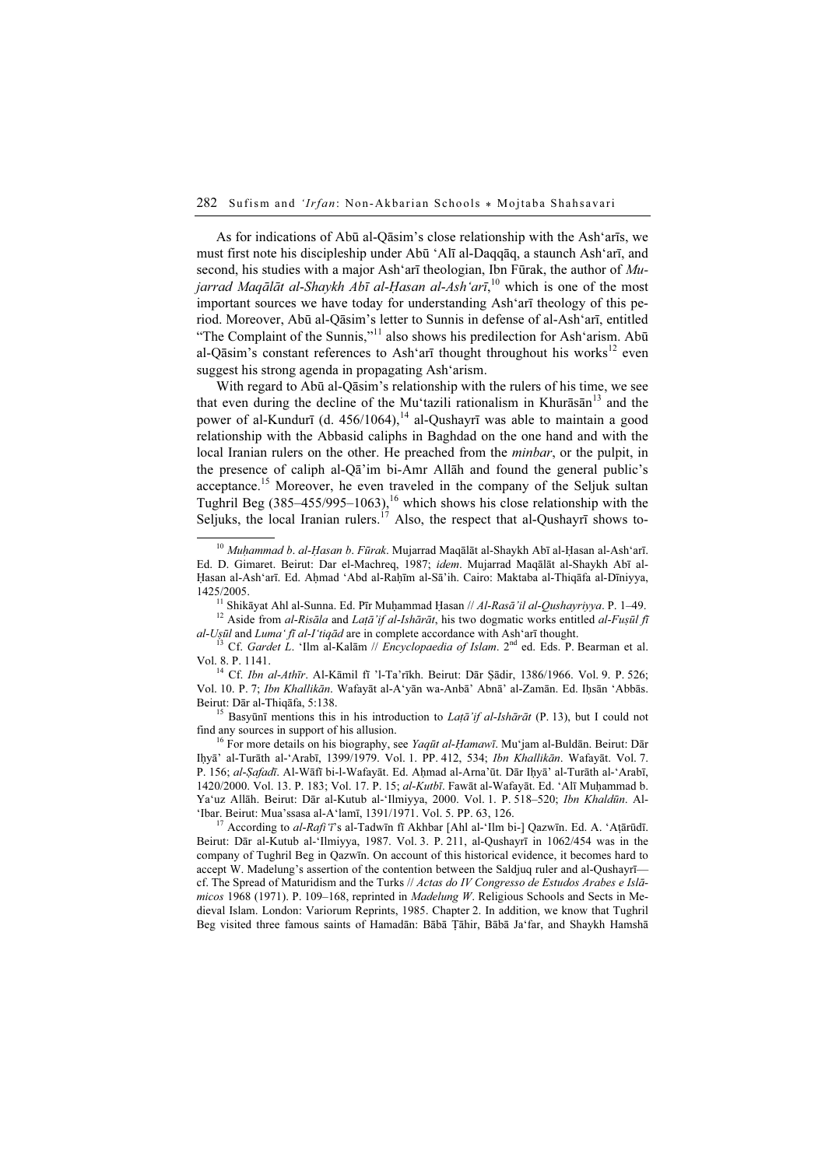As for indications of Abū al-Qāsim's close relationship with the Ash'arīs, we must first note his discipleship under Abū 'Alī al-Daqqāq, a staunch Ash'arī, and second, his studies with a major Ash'arī theologian, Ibn Fūrak, the author of Mujarrad Maqālāt al-Shaykh Abī al-Ḥasan al-Ash'arī, <sup>10</sup> which is one of the most important sources we have today for understanding Ash'arī theology of this period. Moreover, Abū al-Qāsim's letter to Sunnis in defense of al-Ash'arī, entitled "The Complaint of the Sunnis,"<sup>11</sup> also shows his predilection for Ash'arism. Abū al-Qāsim's constant references to Ash'arī thought throughout his works<sup>12</sup> even suggest his strong agenda in propagating Ash'arism.

With regard to Abū al-Qāsim's relationship with the rulers of his time, we see that even during the decline of the Mu'tazili rationalism in Khurāsān $^{13}$  and the power of al-Kundurī (d. 456/1064),<sup>14</sup> al-Qushayrī was able to maintain a good relationship with the Abbasid caliphs in Baghdad on the one hand and with the local Iranian rulers on the other. He preached from the minbar, or the pulpit, in the presence of caliph al-Qā'im bi-Amr Allāh and found the general public's acceptance.<sup>15</sup> Moreover, he even traveled in the company of the Seljuk sultan Tughril Beg  $(385-455/995-1063)$ ,<sup>16</sup> which shows his close relationship with the Seljuks, the local Iranian rulers.<sup>17</sup> Also, the respect that al-Qushayri shows to-

al-Uṣūl and Luma' fī al-I'tiqād are in complete accordance with Ash'arī thought.<br><sup>13</sup> Cf. Gardet L. 'Ilm al-Kalām // Encyclopaedia of Islam. 2<sup>nd</sup> ed. Eds. P. Bearman et al.<br>Vol. 8. P. 1141.

<sup>14</sup> Cf. Ibn al-Athīr. Al-Kāmil fī 'l-Ta'rīkh. Beirut: Dār Şādir, 1386/1966. Vol. 9. P. 526; Vol. 10. P. 7; Ibn Khallikān. Wafayāt al-A'yān wa-Anbā' Abnā' al-Zamān. Ed. Iḥsān 'Abbās.

Beirut: Dār al-Thiqāfa, 5:138.<br><sup>15</sup> Basyūnī mentions this in his introduction to *Laṭā'if al-Ishārāt* (P. 13), but I could not find any sources in support of his allusion.

<sup>16</sup> For more details on his biography, see *Yaqūt al-Ḥamawī*. Mu'jam al-Buldān. Beirut: Dār Iḥyā' al-Turāth al-'Arabī, 1399/1979. Vol. 1. PP. 412, 534; Ibn Khallikān. Wafayāt. Vol. 7. P. 156; al-Şafadī. Al-Wāfī bi-l-Wafayāt. Ed. Aḥmad al-Arna'ūt. Dār Iḥyā' al-Turāth al-'Arabī, 1420/2000. Vol. 13. P. 183; Vol. 17. P. 15; al-Kutbī. Fawāt al-Wafayāt. Ed. 'Alī Muḥammad b. Ya'uz Allāh. Beirut: Dār al-Kutub al-'Ilmiyya, 2000. Vol. 1. P. 518–520; Ibn Khaldūn. Al-'Ibar. Beirut: Mua'ssasa al-A'lamī, 1391/1971. Vol. 5. PP. 63, 126.

<sup>17</sup> According to *al-Rafi*  $\tau$ 's al-Tadwīn fī Akhbar [Ahl al-'Ilm bi-] Qazwīn. Ed. A. 'Aṭārūdī. Beirut: Dār al-Kutub al-'Ilmiyya, 1987. Vol. 3. P. 211, al-Qushayrī in 1062/454 was in the company of Tughril Beg in Qazwīn. On account of this historical evidence, it becomes hard to accept W. Madelung's assertion of the contention between the Saldjuq ruler and al-Qushayrī cf. The Spread of Maturidism and the Turks // Actas do IV Congresso de Estudos Arabes e Islāmicos 1968 (1971). P. 109–168, reprinted in *Madelung W.* Religious Schools and Sects in Medieval Islam. London: Variorum Reprints, 1985. Chapter 2. In addition, we know that Tughril Beg visited three famous saints of Hamadān: Bābā Ṭāhir, Bābā Ja'far, and Shaykh Hamshā

 $10$  Muḥammad b. al-Ḥasan b. Fūrak. Mujarrad Maqālāt al-Shaykh Abī al-Ḥasan al-Ash'arī. Ed. D. Gimaret. Beirut: Dar el-Machreq, 1987; idem. Mujarrad Maqālāt al-Shaykh Abī al-Ḥasan al-Ash'arī. Ed. Aḥmad 'Abd al-Raḥīm al-Sā'ih. Cairo: Maktaba al-Thiqāfa al-Dīniyya, 1425/2005.<br><sup>11</sup> Shikāyat Ahl al-Sunna. Ed. Pīr Muḥammad Ḥasan // Al-Rasā'il al-Qushayriyya. P. 1–49.<br><sup>12</sup> Aside from al-Risāla and Laṭā'if al-Ishārāt, his two dogmatic works entitled al-Fuṣūl fī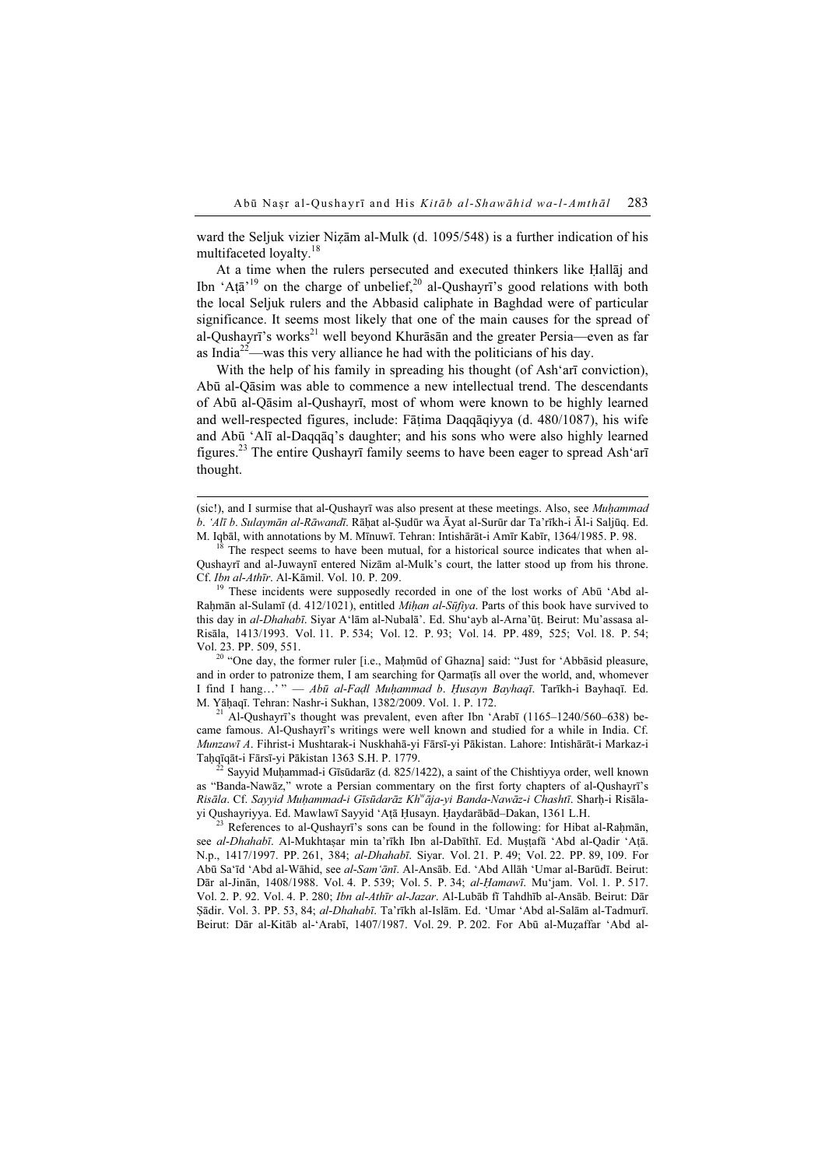ward the Seljuk vizier Nizām al-Mulk (d. 1095/548) is a further indication of his multifaceted loyalty.<sup>18</sup>

At a time when the rulers persecuted and executed thinkers like Ḥallāj and Ibn 'At $\bar{a}$ <sup>19</sup> on the charge of unbelief,<sup>20</sup> al-Qushayrī's good relations with both the local Seljuk rulers and the Abbasid caliphate in Baghdad were of particular significance. It seems most likely that one of the main causes for the spread of al-Qushayrī's works<sup>21</sup> well beyond Khurāsān and the greater Persia—even as far as India<sup>22</sup>—was this very alliance he had with the politicians of his day.

With the help of his family in spreading his thought (of Ash'arī conviction), Abū al-Qāsim was able to commence a new intellectual trend. The descendants of Abū al-Qāsim al-Qushayrī, most of whom were known to be highly learned and well-respected figures, include: Fāṭima Daqqāqiyya (d. 480/1087), his wife and Abū 'Alī al-Daqqāq's daughter; and his sons who were also highly learned figures.<sup>23</sup> The entire Qushayrī family seems to have been eager to spread Ash'arī thought.

Cf. Ibn al-Athīr. Al-Kāmil. Vol. 10. P. 209.<br><sup>19</sup> These incidents were supposedly recorded in one of the lost works of Abū 'Abd al-Rahmān al-Sulamī (d. 412/1021), entitled *Mihan al-Sūfiya*. Parts of this book have survived to this day in al-Dhahabī. Siyar A'lām al-Nubalā'. Ed. Shu'ayb al-Arna'ūṭ. Beirut: Mu'assasa al-Risāla, 1413/1993. Vol. 11. P. 534; Vol. 12. P. 93; Vol. 14. PP. 489, 525; Vol. 18. P. 54; Vol. 23. PP. 509, 551. <sup>20</sup> "One day, the former ruler [i.e., Maḥmūd of Ghazna] said: "Just for 'Abbāsid pleasure,

and in order to patronize them, I am searching for Qarmatts all over the world, and, whomever I find I hang...'" — Abū al-Fadl Muḥammad b. Husayn Bayhaqī. Tarīkh-i Bayhaqī. Ed. M. Yāḥaqī. Tehran: Nashr-i Sukhan, 1382/2009. Vol. 1. P. 172.<br><sup>21</sup> Al-Qushayrī's thought was prevalent, even after Ibn 'Arabī (1165–1240/560–638) be-

came famous. Al-Qushayrī's writings were well known and studied for a while in India. Cf. Munzawī A. Fihrist-i Mushtarak-i Nuskhahā-yi Fārsī-yi Pākistan. Lahore: Intishārāt-i Markaz-i Taḥqīqāt-i Fārsī-yi Pākistan 1363 S.H. P. 1779.<br><sup>22</sup> Sayyid Muḥammad-i Gīsūdarāz (d. 825/1422), a saint of the Chishtiyya order, well known

as "Banda-Nawāz," wrote a Persian commentary on the first forty chapters of al-Qushayrī's Risāla. Cf. Sayyid Muḥammad-i Gīsūdarāz Kh<sup>w</sup>āja-yi Banda-Nawāz-i Chashtī. Sharḥ-i Risālayi Qushayriyya. Ed. Mawlawī Sayyid 'Aṭā Ḥusayn. Ḥaydarābād–Dakan, 1361 L.H. <sup>23</sup> References to al-Qushayrī's sons can be found in the following: for Hibat al-Raḥmān,

see al-Dhahabī. Al-Mukhtaṣar min ta'rīkh Ibn al-Dabīthī. Ed. Muṣṭafā 'Abd al-Qadir 'Aṭā. N.p., 1417/1997. PP. 261, 384; al-Dhahabī. Siyar. Vol. 21. P. 49; Vol. 22. PP. 89, 109. For Abū Sa'īd 'Abd al-Wāhid, see al-Sam'ānī. Al-Ansāb. Ed. 'Abd Allāh 'Umar al-Barūdī. Beirut: Dār al-Jinān, 1408/1988. Vol. 4. P. 539; Vol. 5. P. 34; al-Ḥamawī. Mu'jam. Vol. 1. P. 517. Vol. 2. P. 92. Vol. 4. P. 280; Ibn al-Athīr al-Jazar. Al-Lubāb fī Tahdhīb al-Ansāb. Beirut: Dār Ṣādir. Vol. 3. PP. 53, 84; al-Dhahabī. Ta'rīkh al-Islām. Ed. 'Umar 'Abd al-Salām al-Tadmurī. Beirut: Dār al-Kitāb al-'Arabī, 1407/1987. Vol. 29. P. 202. For Abū al-Muẓaffar 'Abd al-

<sup>(</sup>sic!), and I surmise that al-Qushayrī was also present at these meetings. Also, see Muḥammad b. *'Alī b. Sulaymān al-Rāwandī*. Rāḥat al-Ṣudūr wa Āyat al-Surūr dar Ta'rīkh-i Āl-i Saljūq. Ed.<br>M. Iqbāl, with annotations by M. Mīnuwī. Tehran: Intishārāt-i Amīr Kabīr, 1364/1985. P. 98.

 $1^8$  The respect seems to have been mutual, for a historical source indicates that when al-Qushayrī and al-Juwaynī entered Nizām al-Mulk's court, the latter stood up from his throne.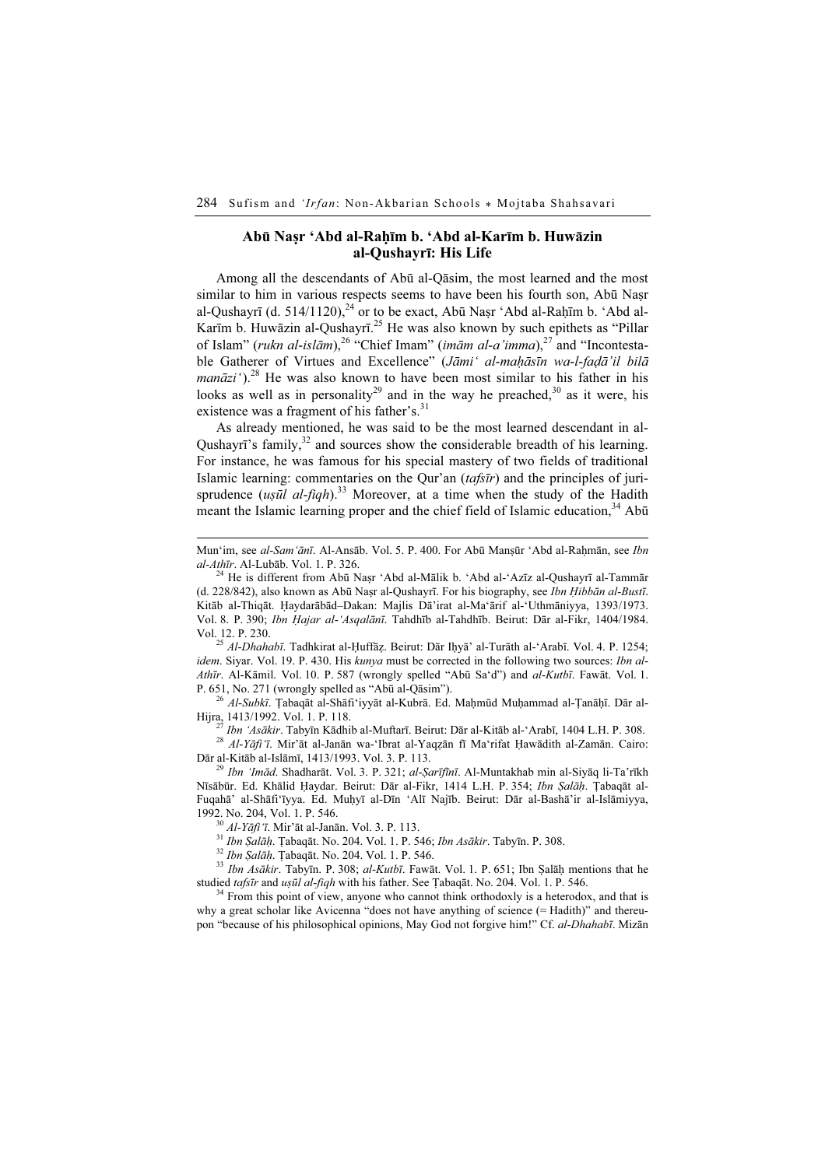## Abū Naṣr 'Abd al-Raḥīm b. 'Abd al-Karīm b. Huwāzin al-Qushayrī: His Life

Among all the descendants of Abū al-Qāsim, the most learned and the most similar to him in various respects seems to have been his fourth son, Abū Naṣr al-Qushayrī (d. 514/1120), $^{24}$  or to be exact, Abū Nasr 'Abd al-Rahīm b. 'Abd al-Karīm b. Huwāzin al-Qushayrī.<sup>25</sup> He was also known by such epithets as "Pillar of Islam" (rukn al-islām),<sup>26</sup> "Chief Imam" (imām al-a'imma),<sup>27</sup> and "Incontestable Gatherer of Virtues and Excellence" (Jāmi' al-mahāsīn wa-l-fadā'il bilā manāzi').<sup>28</sup> He was also known to have been most similar to his father in his looks as well as in personality<sup>29</sup> and in the way he preached,<sup>30</sup> as it were, his existence was a fragment of his father's.<sup>31</sup>

As already mentioned, he was said to be the most learned descendant in al-Qushayrī's family, $32$  and sources show the considerable breadth of his learning. For instance, he was famous for his special mastery of two fields of traditional Islamic learning: commentaries on the Qur'an  $(tafs\bar{t}r)$  and the principles of jurisprudence  $(us\bar{u}l \ al-fiqh).^{33}$  Moreover, at a time when the study of the Hadith meant the Islamic learning proper and the chief field of Islamic education,<sup>34</sup> Abū

(d. 228/842), also known as Abū Naṣr al-Qushayrī. For his biography, see Ibn Ḥibbān al-Bustī. Kitāb al-Thiqāt. Ḥaydarābād–Dakan: Majlis Dā'irat al-Ma'ārif al-'Uthmāniyya, 1393/1973. Vol. 8. P. 390; Ibn Ḥajar al-'Asqalānī. Tahdhīb al-Tahdhīb. Beirut: Dār al-Fikr, 1404/1984. Vol. 12. P. 230. <sup>25</sup> Al-Dhahabī. Tadhkirat al-Ḥuffāẓ. Beirut: Dār Iḥyā' al-Turāth al-'Arabī. Vol. 4. P. 1254;

idem. Siyar. Vol. 19. P. 430. His kunya must be corrected in the following two sources: *Ibn al-*Athīr. Al-Kāmil. Vol. 10. P. 587 (wrongly spelled "Abū Sa'd") and al-Kutbī. Fawāt. Vol. 1.

P. 651, No. 271 (wrongly spelled as "Abū al-Qāsim").<br><sup>26</sup> Al-Subkī. Ţabaqāt al-Shāfi'iyyāt al-Kubrā. Ed. Maḥmūd Muḥammad al-Ṭanāḥī. Dār al-Hijra, 1413/1992. Vol. 1. P. 118.

<sup>27</sup> Ibn 'Asākir. Tabyīn Kādhib al-Muftarī. Beirut: Dār al-Kitāb al-'Arabī, 1404 L.H. P. 308.<br><sup>28</sup> Al-Yāfi 'ī. Mir'āt al-Janān wa-'Ibrat al-Yaqẓān fī Ma'rifat Ḥawādith al-Zamān. Cairo:

Dār al-Kitāb al-Islāmī, 1413/1993. Vol. 3. P. 113.<br><sup>29</sup> Ibn 'Imād. Shadharāt. Vol. 3. P. 321; al-Şarīfīnī. Al-Muntakhab min al-Siyāq li-Ta'rīkh

Nīsābūr. Ed. Khālid Haydar. Beirut: Dār al-Fikr, 1414 L.H. P. 354; Ibn Șalāņ. Țabaqāt al-Fuqahā' al-Shāfi'īyya. Ed. Muḥyī al-Dīn 'Alī Najīb. Beirut: Dār al-Bashā'ir al-Islāmiyya, 1992. No. 204, Vol. 1. P. 546.<br>
<sup>30</sup> *Al-Yāfi* 'ī. Mir'āt al-Janān. Vol. 3. P. 113.<br>
<sup>31</sup> *Ibn Ṣalāḥ*. Țabaqāt. No. 204. Vol. 1. P. 546; *Ibn Asākir*. Tabyīn. P. 308.<br>
<sup>32</sup> *Ibn Ṣalāḥ*. Ţabaqāt. No. 204. Vol. 1. P. 546.<br>

studied *tafsīr* and *uṣūl al-fiqh* with his father. See Tabaqāt. No. 204. Vol. 1. P. 546. <sup>34</sup> From this point of view, anyone who cannot think orthodoxly is a heterodox, and that is

why a great scholar like Avicenna "does not have anything of science  $(=$  Hadith)" and thereupon "because of his philosophical opinions, May God not forgive him!" Cf. al-Dhahabī. Mizān

Mun'im, see al-Sam'ānī. Al-Ansāb. Vol. 5. P. 400. For Abū Manṣūr 'Abd al-Rahmān, see Ibn  $al-Ath\bar{u}r$ . Al-Lubāb. Vol. 1. P. 326.<br><sup>24</sup> He is different from Abū Naṣr 'Abd al-Mālik b. 'Abd al-'Azīz al-Qushayrī al-Tammār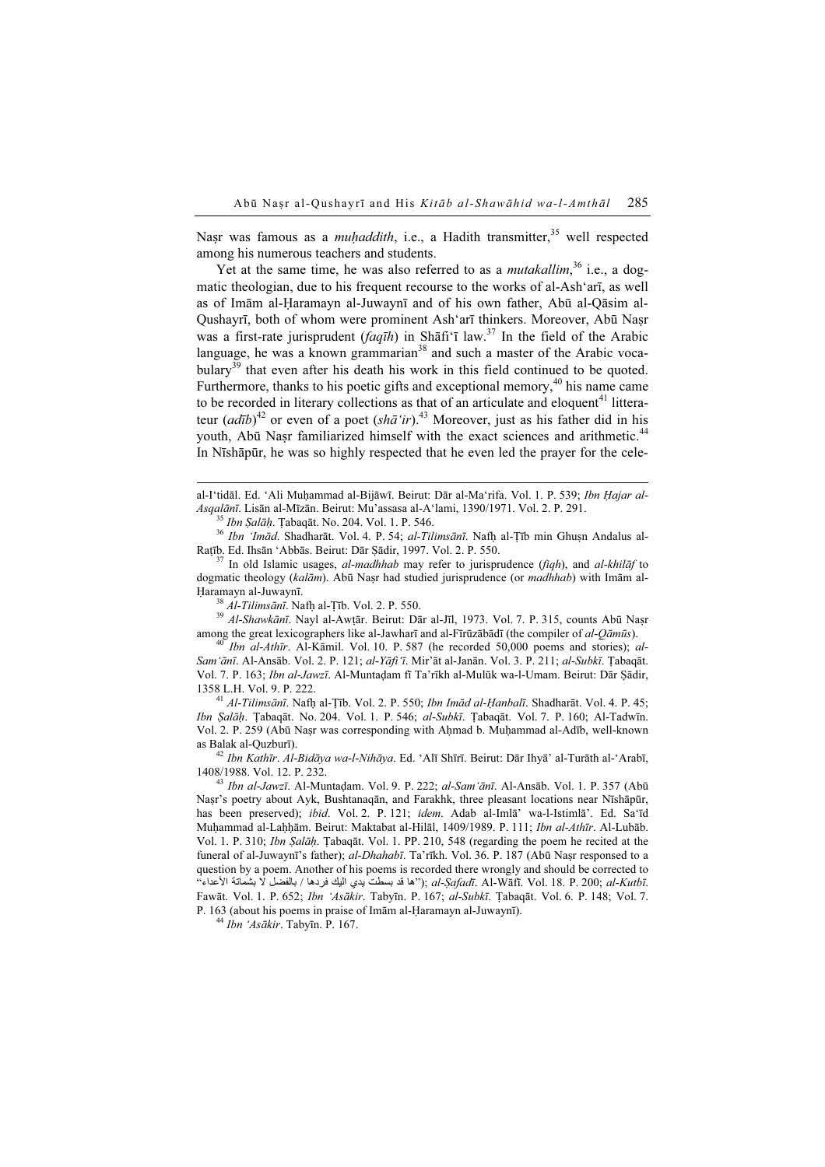Nasr was famous as a *muhaddith*, i.e., a Hadith transmitter,<sup>35</sup> well respected among his numerous teachers and students.

Yet at the same time, he was also referred to as a *mutakallim*,<sup>36</sup> i.e., a dogmatic theologian, due to his frequent recourse to the works of al-Ash'arī, as well as of Imām al-Ḥaramayn al-Juwaynī and of his own father, Abū al-Qāsim al-Qushayrī, both of whom were prominent Ash'arī thinkers. Moreover, Abū Naṣr was a first-rate jurisprudent (faqīh) in Shāfi'ī law.<sup>37</sup> In the field of the Arabic language, he was a known grammarian<sup>38</sup> and such a master of the Arabic voca $bulary<sup>39</sup>$  that even after his death his work in this field continued to be quoted. Furthermore, thanks to his poetic gifts and exceptional memory,<sup>40</sup> his name came to be recorded in literary collections as that of an articulate and eloquent<sup>41</sup> litterateur  $\left(\frac{adjb}{2}\right)^{42}$  or even of a poet  $\left(\frac{s}{h}\right)^{43}$  Moreover, just as his father did in his youth, Abū Nasr familiarized himself with the exact sciences and arithmetic.<sup>44</sup> In Nīshāpūr, he was so highly respected that he even led the prayer for the cele-

al-I'tidāl. Ed. 'Ali Muhammad al-Bijāwī. Beirut: Dār al-Ma'rifa. Vol. 1. P. 539; Ibn Hajar al-

Asqalānī. Lisān al-Mīzān. Beirut: Mu'assasa al-A'lami, 1390/1971. Vol. 2. P. 291.<br><sup>35</sup> Ibn Șalāḥ. Țabaqāt. No. 204. Vol. 1. P. 546.<br><sup>36</sup> Ibn 'Imād. Shadharāt. Vol. 4. P. 54; *al-Tilimsānī*. Nafḥ al-Țīb min Ghuṣn Andalus al

 $37$  In old Islamic usages, al-madhhab may refer to jurisprudence (fiqh), and al-khilaf to dogmatic theology (kalām). Abū Naṣr had studied jurisprudence (or *madhhab*) with Imām al-Ḥaramayn al-Juwaynī.<br><sup>38</sup> *Al-Tilimsānī*. Nafḥ al-Ṭīb. Vol. 2. P. 550.<br><sup>39</sup> *Al-Shawkānī*. Nayl al-Awṭār. Beirut: Dār al-Jīl, 1973. Vol. 7. P. 315, counts Abū Naṣr

among the great lexicographers like al-Jawharī and al-Fīrūzābādī (the compiler of al-Qāmūs). <sup>40</sup> Ibn al-Athīr. Al-Kāmil. Vol. 10. P. 587 (he recorded 50,000 poems and stories); al-

Sam'ānī. Al-Ansāb. Vol. 2. P. 121; al-Yāfi'ī. Mir'āt al-Janān. Vol. 3. P. 211; al-Subkī. Ṭabaqāt. Vol. 7. P. 163; Ibn al-Jawzī. Al-Muntadam fī Ta'rīkh al-Mulūk wa-l-Umam. Beirut: Dār Sādir, 1358 L.H. Vol. 9. P. 222.<br><sup>41</sup> *Al-Tilimsānī*. Nafh al-Tīb. Vol. 2. P. 550; *Ibn Imād al-Hanbalī*. Shadharāt. Vol. 4. P. 45;

Ibn Ṣalāḥ. Ṭabaqāt. No. 204. Vol. 1. P. 546; al-Subkī. Ṭabaqāt. Vol. 7. P. 160; Al-Tadwīn. Vol. 2. P. 259 (Abū Naṣr was corresponding with Aḥmad b. Muḥammad al-Adīb, well-known as Balak al-Quzburī).<br><sup>42</sup> Ibn Kathīr. Al-Bidāya wa-l-Nihāya. Ed. 'Alī Shīrī. Beirut: Dār Ihyā' al-Turāth al-'Arabī,

1408/1988. Vol. 12. P. 232.<br><sup>43</sup> Ibn al-Jawzī. Al-Muntadam. Vol. 9. P. 222; al-Sam'ānī. Al-Ansāb. Vol. 1. P. 357 (Abū

Naṣr's poetry about Ayk, Bushtanaqān, and Farakhk, three pleasant locations near Nīshāpūr, has been preserved); ibid. Vol. 2. P. 121; idem. Adab al-Imlā' wa-l-Istimlā'. Ed. Sa'īd Muḥammad al-Laḥḥām. Beirut: Maktabat al-Hilāl, 1409/1989. P. 111; Ibn al-Athīr. Al-Lubāb. Vol. 1. P. 310; Ibn Salāh. Tabaqāt. Vol. 1. PP. 210, 548 (regarding the poem he recited at the funeral of al-Juwaynī's father); al-Dhahabī. Ta'rīkh. Vol. 36. P. 187 (Abū Naṣr responsed to a question by a poem. Another of his poems is recorded there wrongly and should be corrected to  $\sim$ ما قد بسطت يدي اليك فردها / بالفضل لا بشماتة الأعداء");  $al$ -Ṣafadī. Al-Wāfī. Vol. 18. P. 200;  $al$ -Kutbī. Fawāt. Vol. 1. P. 652; Ibn 'Asākir. Tabyīn. P. 167; al-Subkī. Ṭabaqāt. Vol. 6. P. 148; Vol. 7. P. 163 (about his poems in praise of Imām al-Ḥaramayn al-Juwaynī). <sup>44</sup> Ibn 'Asākir. Tabyīn. P. 167.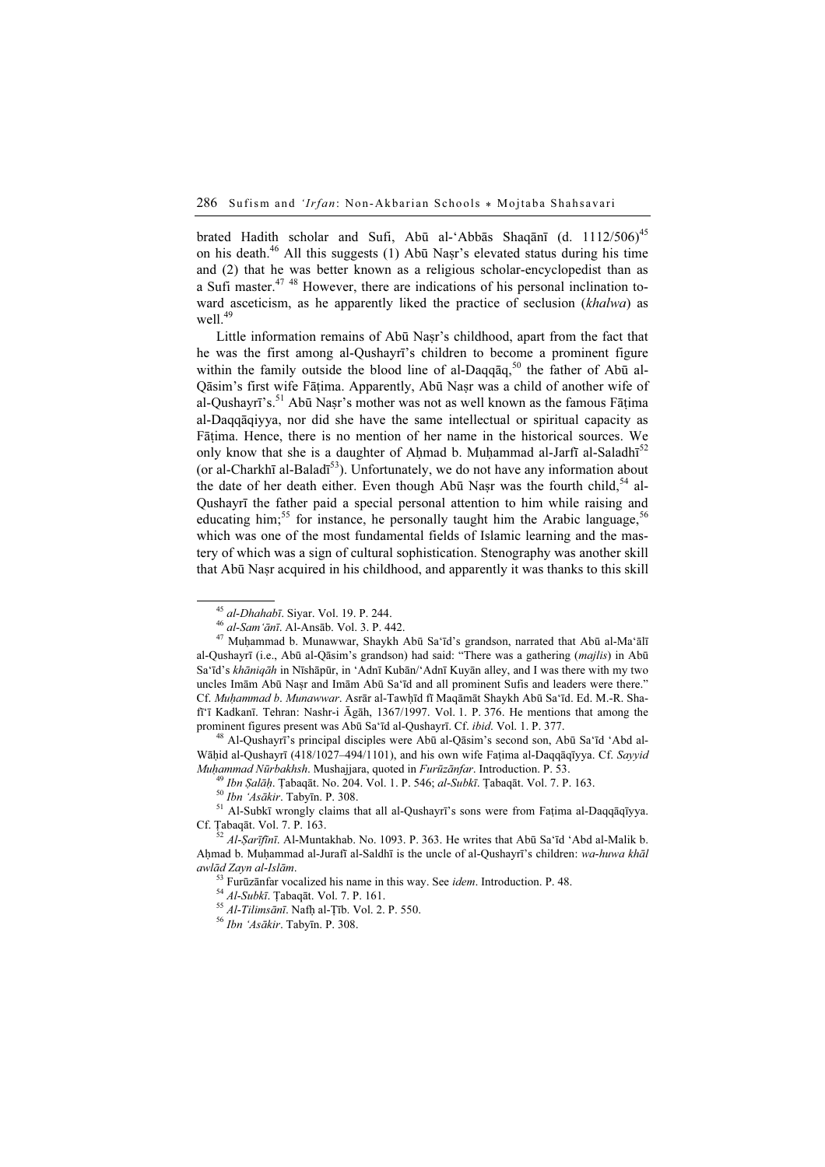brated Hadith scholar and Sufi, Abū al-'Abbās Shaqānī (d. 1112/506)<sup>45</sup> on his death.<sup>46</sup> All this suggests (1) Abū Naṣr's elevated status during his time and (2) that he was better known as a religious scholar-encyclopedist than as a Sufi master. $47 \frac{48}{18}$  However, there are indications of his personal inclination toward asceticism, as he apparently liked the practice of seclusion (khalwa) as well. $49$ 

Little information remains of Abū Nasr's childhood, apart from the fact that he was the first among al-Qushayrī's children to become a prominent figure within the family outside the blood line of al-Daqqaq,<sup>50</sup> the father of Abū al-Qāsim's first wife Fāṭima. Apparently, Abū Naṣr was a child of another wife of al-Qushayrī's.<sup>51</sup> Abū Naṣr's mother was not as well known as the famous Fātima al-Daqqāqiyya, nor did she have the same intellectual or spiritual capacity as Fāṭima. Hence, there is no mention of her name in the historical sources. We only know that she is a daughter of Ahmad b. Muhammad al-Jarfī al-Saladhī<sup>52</sup> (or al-Charkhī al-Baladī<sup>53</sup>). Unfortunately, we do not have any information about the date of her death either. Even though Abū Naṣr was the fourth child,  $54$  al-Qushayrī the father paid a special personal attention to him while raising and educating him;<sup>55</sup> for instance, he personally taught him the Arabic language,  $56$ which was one of the most fundamental fields of Islamic learning and the mastery of which was a sign of cultural sophistication. Stenography was another skill that Abū Naṣr acquired in his childhood, and apparently it was thanks to this skill

<sup>&</sup>lt;sup>45</sup> al-Dhahabī. Siyar. Vol. 19. P. 244.<br><sup>46</sup> al-Sam'ānī. Al-Ansāb. Vol. 3. P. 442.<br><sup>47</sup> Muḥammad b. Munawwar, Shaykh Abū Sa'īd's grandson, narrated that Abū al-Ma'ālī al-Qushayrī (i.e., Abū al-Qāsim's grandson) had said: "There was a gathering (majlis) in Abū Sa'īd's khāniqāh in Nīshāpūr, in 'Adnī Kubān/'Adnī Kuyān alley, and I was there with my two uncles Imām Abū Naṣr and Imām Abū Sa'īd and all prominent Sufis and leaders were there." Cf. Muhammad b. Munawwar. Asrār al-Tawhīd fī Maqāmāt Shaykh Abū Sa'īd. Ed. M.-R. Shafī'ī Kadkanī. Tehran: Nashr-i Āgāh, 1367/1997. Vol. 1. P. 376. He mentions that among the prominent figures present was Abū Sa'īd al-Qushayrī. Cf. *ibid*. Vol. 1. P. 377.<br><sup>48</sup> Al-Qushayrī's principal disciples were Abū al-Qāsim's second son, Abū Sa'īd 'Abd al-

Wāḥid al-Qushayrī (418/1027–494/1101), and his own wife Faṭima al-Daqqāqīyya. Cf. Sayyid

Muhammad Nūrbakhsh. Mushajjara, quoted in *Furūzānfar*. Introduction. P. 53.<br><sup>49</sup> Ibn Șalāḥ. Țabaqāt. No. 204. Vol. 1. P. 546; al-Subkī. Țabaqāt. Vol. 7. P. 163.<br><sup>50</sup> Ibn '*Asākir*. Tabyīn. P. 308.<br><sup>51</sup> Al-Subkī wrongly cl

 $\frac{52 \text{ A}}{1 \cdot \text{Sarīfīnī.}}$  Al-Muntakhab. No. 1093. P. 363. He writes that Abū Sa'īd 'Abd al-Malik b. Ahmad b. Muhammad al-Jurafī al-Saldhī is the uncle of al-Qushayrī's children: wa-huwa khāl awlād Zayn al-Islām.<br><sup>53</sup> Furūzānfar vocalized his name in this way. See *idem*. Introduction. P. 48.<br><sup>54</sup> Al-Subkī. Ţabaqāt. Vol. 7. P. 161.<br><sup>55</sup> Al-Tilimsānī. Nafḥ al-Ṭīb. Vol. 2. P. 550.<br><sup>56</sup> Ibn 'Asākir. Tabyīn. P. 30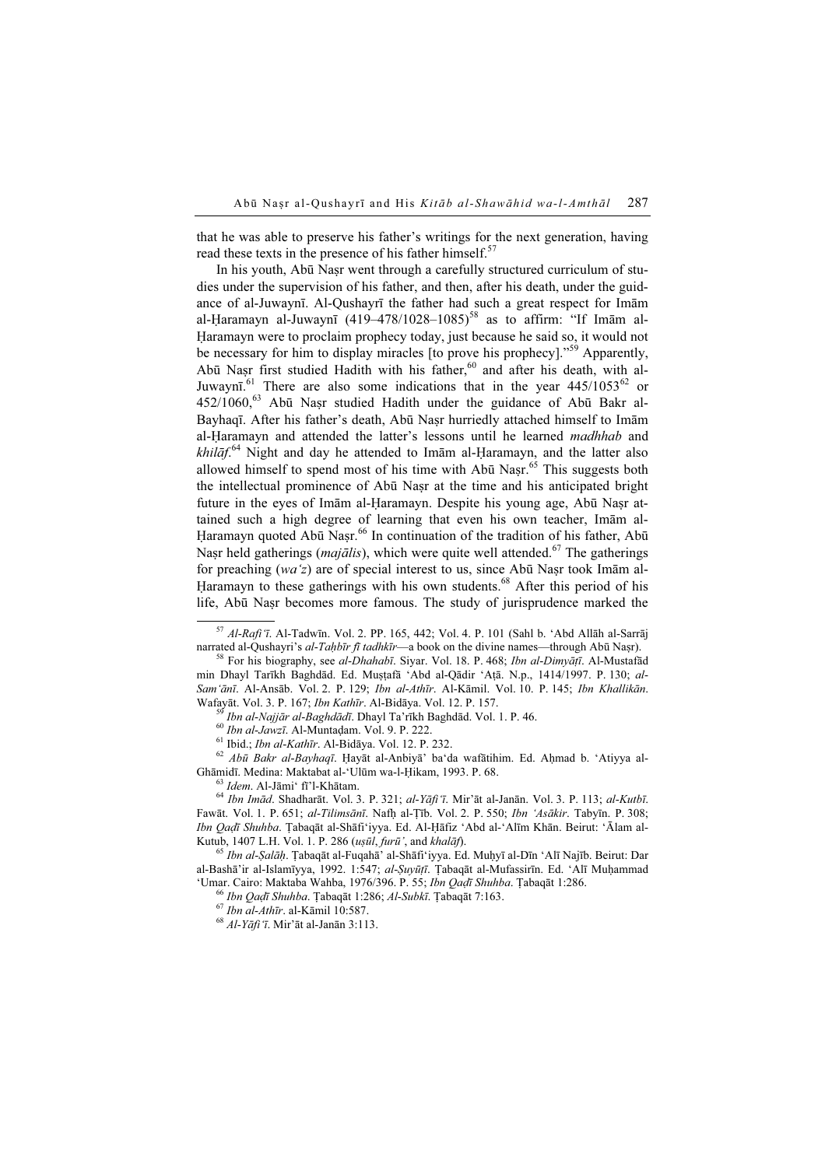that he was able to preserve his father's writings for the next generation, having read these texts in the presence of his father himself.<sup>57</sup>

In his youth, Abū Naṣr went through a carefully structured curriculum of studies under the supervision of his father, and then, after his death, under the guidance of al-Juwaynī. Al-Qushayrī the father had such a great respect for Imām al-Haramayn al-Juwaynī (419–478/1028–1085)<sup>58</sup> as to affirm: "If Imām al-Ḥaramayn were to proclaim prophecy today, just because he said so, it would not be necessary for him to display miracles [to prove his prophecy]."<sup>59</sup> Apparently, Abū Nașr first studied Hadith with his father, $60$  and after his death, with al-Juwaynī.<sup>61</sup> There are also some indications that in the year  $445/1053^{62}$  or  $452/1060$ ,<sup>63</sup> Abū Nasr studied Hadith under the guidance of Abū Bakr al-Bayhaqī. After his father's death, Abū Naṣr hurriedly attached himself to Imām al-Ḥaramayn and attended the latter's lessons until he learned madhhab and  $khil\bar{a}f$ .<sup>64</sup> Night and day he attended to Imam al-Ḥaramayn, and the latter also allowed himself to spend most of his time with  $Ab\bar{u}$  Nasr.<sup>65</sup> This suggests both the intellectual prominence of Abū Naṣr at the time and his anticipated bright future in the eyes of Imām al-Haramayn. Despite his young age, Abū Nasr attained such a high degree of learning that even his own teacher, Imām al-Haramayn quoted Abū Nasr.<sup>66</sup> In continuation of the tradition of his father, Abū Nasr held gatherings (*majālis*), which were quite well attended.<sup>67</sup> The gatherings for preaching (wa'z) are of special interest to us, since Abū Naṣr took Imām al-Haramayn to these gatherings with his own students.<sup>68</sup> After this period of his life, Abū Naṣr becomes more famous. The study of jurisprudence marked the

- 
- 

<sup>59</sup> Ibn al-Najjār al-Baghdādī. Dhayl Ta'rīkh Baghdād. Vol. 1. P. 46.<br><sup>60</sup> Ibn al-Jawzī. Al-Muntadam. Vol. 9. P. 222.<br><sup>61</sup> Ibid.; *Ibn al-Kathīr*. Al-Bidāya. Vol. 12. P. 232.<br><sup>62</sup> *Abū Bakr al-Bayhaqī*. Hayāt al-Anbiyā' ba Ghāmidī. Medina: Maktabat al-'Ulūm wa-l-Ḥikam, 1993. P. 68.<br><sup>63</sup> Idem. Al-Jāmi' fī'l-Khātam. 64 Ibn Imād. Shadharāt. Vol. 3. P. 321; al-Yāfi'ī. Mir'āt al-Janān. Vol. 3. P. 113; al-Kutbī.

Fawāt. Vol. 1. P. 651; al-Tilimsānī. Nafḥ al-Ṭīb. Vol. 2. P. 550; Ibn 'Asākir. Tabyīn. P. 308; Ibn Qaḍī Shuhba. Ṭabaqāt al-Shāfi'iyya. Ed. Al-Ḥāfiz 'Abd al-'Alīm Khān. Beirut: 'Ālam al-<br>Kutub, 1407 L.H. Vol. 1. P. 286 (*uṣūl, furū'*, and *khalāf*).

<sup>65</sup> Ibn al-Șalāḥ. Țabaqāt al-Fuqahā' al-Shāfiʻiyya. Ed. Muḥyī al-Dīn 'Alī Najīb. Beirut: Dar al-Bashā'ir al-Islamīyya, 1992. 1:547; al-Suyūtī. Tabaqāt al-Mufassirīn. Ed. 'Alī Muḥammad 'Umar. Cairo: Maktaba Wahba, 1976/396. P. 55; Ibn Qaḍī Shuhba. Ṭabaqāt 1:286. <sup>66</sup> Ibn Qaḍī Shuhba. Ṭabaqāt 1:286; Al-Subkī. Ṭabaqāt 7:163. <sup>67</sup> Ibn al-Athīr. al-Kāmil 10:587. <sup>68</sup> Al-Yāfi 'ī. Mir'āt al-Janān 3:113.

<sup>&</sup>lt;sup>57</sup> Al-Rafi'ī. Al-Tadwīn. Vol. 2. PP. 165, 442; Vol. 4. P. 101 (Sahl b. 'Abd Allāh al-Sarrāj narrated al-Qushayri's *al-Taḥbīr fī tadhkīr*—a book on the divine names—through Abū Naşr).

<sup>&</sup>lt;sup>58</sup> For his biography, see *al-Dhahabī*. Siyar. Vol. 18. P. 468; Ibn al-Dimyāṭī. Al-Mustafād min Dhayl Tarīkh Baghdād. Ed. Muṣṭafā 'Abd al-Qādir 'Aṭā. N.p., 1414/1997. P. 130; al-Sam'ānī. Al-Ansāb. Vol. 2. P. 129; Ibn al-Athīr. Al-Kāmil. Vol. 10. P. 145; Ibn Khallikān. Wafayāt. Vol. 3. P. 167; Ibn Kathīr. Al-Bidāya. Vol. 12. P. 157.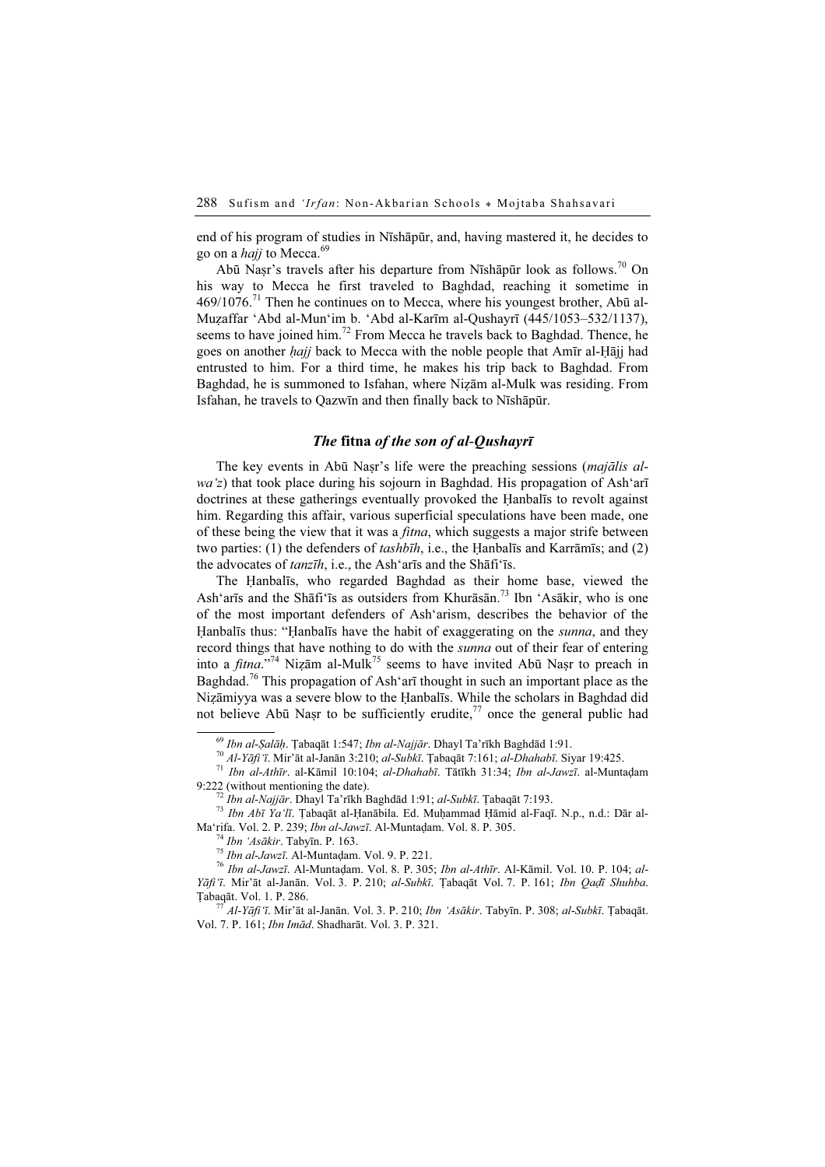end of his program of studies in Nīshāpūr, and, having mastered it, he decides to go on a *hajj* to Mecca.<sup>69</sup>

Abū Nasr's travels after his departure from Nīshāpūr look as follows.<sup>70</sup> On his way to Mecca he first traveled to Baghdad, reaching it sometime in  $469/1076$ .<sup>71</sup> Then he continues on to Mecca, where his youngest brother, Abū al-Muẓaffar 'Abd al-Mun'im b. 'Abd al-Karīm al-Qushayrī (445/1053–532/1137), seems to have joined him.<sup>72</sup> From Mecca he travels back to Baghdad. Thence, he goes on another hajj back to Mecca with the noble people that Amīr al-Ḥājj had entrusted to him. For a third time, he makes his trip back to Baghdad. From Baghdad, he is summoned to Isfahan, where Niẓām al-Mulk was residing. From Isfahan, he travels to Qazwīn and then finally back to Nīshāpūr.

## The fitna of the son of al-Qushayrī

The key events in Abū Nasr's life were the preaching sessions (*majālis al* $w\alpha'z$ ) that took place during his sojourn in Baghdad. His propagation of Ash'arī doctrines at these gatherings eventually provoked the Ḥanbalīs to revolt against him. Regarding this affair, various superficial speculations have been made, one of these being the view that it was a *fitna*, which suggests a major strife between two parties: (1) the defenders of  $tash\bar{b}\bar{h}$ , i.e., the Hanbalīs and Karrāmīs; and (2) the advocates of tanzīh, i.e., the Ash'arīs and the Shāfi'īs.

The Ḥanbalīs, who regarded Baghdad as their home base, viewed the Ash'arīs and the Shāfi'īs as outsiders from Khurāsān.<sup>73</sup> Ibn 'Asākir, who is one of the most important defenders of Ash'arism, describes the behavior of the Hanbalis thus: "Hanbalis have the habit of exaggerating on the *sunna*, and they record things that have nothing to do with the *sunna* out of their fear of entering into a *fitna*."<sup>74</sup> Nizām al-Mulk<sup>75</sup> seems to have invited Abū Naṣr to preach in Baghdad.<sup>76</sup> This propagation of Ash'arī thought in such an important place as the Niẓāmiyya was a severe blow to the Ḥanbalīs. While the scholars in Baghdad did not believe Abū Naṣr to be sufficiently erudite, $^{77}$  once the general public had

<sup>&</sup>lt;sup>69</sup> Ibn al-Şalāḥ. Țabaqāt 1:547; Ibn al-Najjār. Dhayl Ta'rīkh Baghdād 1:91.<br><sup>70</sup> Al-Yāfi 'ī. Mir'āt al-Janān 3:210; al-Subkī. Ţabaqāt 7:161; al-Dhahabī. Siyar 19:425.<br><sup>71</sup> Ibn al-Athīr. al-Kāmil 10:104; al-Dhahabī. Tātīk

<sup>&</sup>lt;sup>72</sup> Ibn al-Najjār. Dhayl Ta'rīkh Baghdād 1:91; al-Subkī. Ţabaqāt 7:193.<br><sup>73</sup> Ibn Abī Ya'lī. Ţabaqāt al-Ḥanābila. Ed. Muḥammad Ḥāmid al-Faqī. N.p., n.d.: Dār al-Ma'rifa. Vol. 2. P. 239; Ibn al-Jawzī. Al-Muntaḍam. Vol. 8.

<sup>&</sup>lt;sup>74</sup> Ibn '*Asākir*. Tabyīn. P. 163.<br><sup>75</sup> Ibn al-Jawzī. Al-Muntaḍam. Vol. 9. P. 221.<br><sup>76</sup> Ibn al-Jawzī. Al-Muntaḍam. Vol. 8. P. 305; Ibn al-*Athīr*. Al-Kāmil. Vol. 10. P. 104; al-Yāfi'ī. Mir'āt al-Janān. Vol. 3. P. 210; al-Subkī. Ţabaqāt Vol. 7. P. 161; Ibn Qaḍī Shuhba. Ṭabaqāt. Vol. 1. P. 286. <sup>77</sup> Al-Yāfi'ī. Mir'āt al-Janān. Vol. 3. P. 210; Ibn 'Asākir. Tabyīn. P. 308; al-Subkī. Ṭabaqāt.

Vol. 7. P. 161; Ibn Imād. Shadharāt. Vol. 3. P. 321.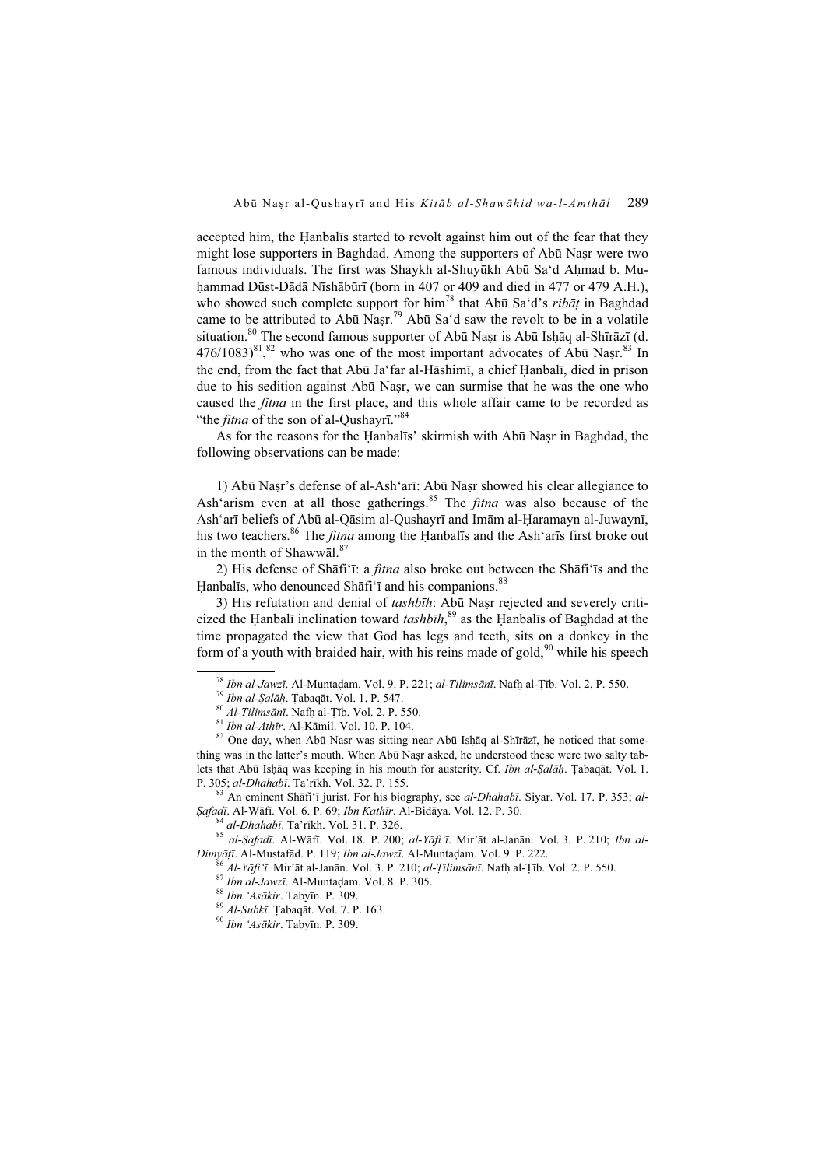accepted him, the Ḥanbalīs started to revolt against him out of the fear that they might lose supporters in Baghdad. Among the supporters of Abū Nasr were two famous individuals. The first was Shaykh al-Shuyūkh Abū Sa'd Ahmad b. Muhammad Dūst-Dādā Nīshābūrī (born in 407 or 409 and died in 477 or 479 A.H.), who showed such complete support for him<sup>78</sup> that Abū Sa'd's *ribāt* in Baghdad came to be attributed to Abū Nasr.<sup>79</sup> Abū Sa'd saw the revolt to be in a volatile situation.<sup>80</sup> The second famous supporter of Abū Naṣr is Abū Isḥāq al-Shīrāzī (d.  $476/1083)^{81}$ ,  $82$  who was one of the most important advocates of Abū Naṣr.  $83$  In the end, from the fact that Abū Ja'far al-Hāshimī, a chief Ḥanbalī, died in prison due to his sedition against Abū Naṣr, we can surmise that he was the one who caused the fitna in the first place, and this whole affair came to be recorded as "the *fitna* of the son of al-Qushayrī."<sup>84</sup>

As for the reasons for the Ḥanbalīs' skirmish with Abū Naṣr in Baghdad, the following observations can be made:

1) Abū Naṣr's defense of al-Ash'arī: Abū Naṣr showed his clear allegiance to Ash'arism even at all those gatherings.<sup>85</sup> The *fitna* was also because of the Ash'arī beliefs of Abū al-Qāsim al-Qushayrī and Imām al-Ḥaramayn al-Juwaynī, his two teachers.<sup>86</sup> The *fitna* among the Hanbalīs and the Ash'arīs first broke out in the month of Shawwāl.<sup>87</sup>

2) His defense of Shāfi'ī: a fitna also broke out between the Shāfi'īs and the Hanbalīs, who denounced Shāfi'ī and his companions.<sup>88</sup>

3) His refutation and denial of tashbīh: Abū Nasr rejected and severely criticized the Ḥanbalī inclination toward  $tash\bar{b}\bar{h}$ ,<sup>89</sup> as the Ḥanbalīs of Baghdad at the time propagated the view that God has legs and teeth, sits on a donkey in the form of a youth with braided hair, with his reins made of gold,  $90$  while his speech

thing was in the latter's mouth. When Abū Naṣr asked, he understood these were two salty tablets that Abū Isḥāq was keeping in his mouth for austerity. Cf. Ibn al-Ṣalāḥ. Ṭabaqāt. Vol. 1. P. 305; al-Dhahabī. Ta'rīkh. Vol. 32. P. 155.<br><sup>83</sup> An eminent Shāfi'ī jurist. For his biography, see al-Dhahabī. Siyar. Vol. 17. P. 353; al-

*Şafadī. Al-Wāfī. Vol. 6. P. 69; Ibn Kathīr. Al-Bidāya. Vol. 12. P. 30.*<br><sup>84</sup> al-*Dhahabī. Ta*'rīkh. Vol. 31. P. 326.<br><sup>85</sup> al-*Ṣafadī. Al-Wāfī. Vol. 18. P. 200; al-Yāfi'ī. Mir'āt al-Janān. Vol. 3. P. 210; <i>Ibn al-*<br>*Dimyāṭ* 

<sup>86</sup> Al-Yāfi 'ī. Mir'āt al-Janān. Vol. 3. P. 210; *al-Țilimsānī*. Nafh al-Țīb. Vol. 2. P. 550.<br><sup>87</sup> Ibn al-Jawzī. Al-Muntadam. Vol. 8. P. 305.<br><sup>88</sup> Ibn 'Asākir. Tabyīn. P. 309.<br><sup>89</sup> Al-Subkī. Tabaqāt. Vol. 7. P. 163.<br><sup>90</sup>

<sup>&</sup>lt;sup>78</sup> *Ibn al-Jawzī*. Al-Muntadam. Vol. 9. P. 221; *al-Tilimsānī*. Nafh al-Țīb. Vol. 2. P. 550.<br><sup>79</sup> *Ibn al-Ṣalāḥ*. Țabaqāt. Vol. 1. P. 547.<br><sup>80</sup> *Al-Tilimsānī*. Nafh al-Țīb. Vol. 2. P. 550.<br><sup>81</sup> *Ibn al-Athīr*. Al-Kāmil.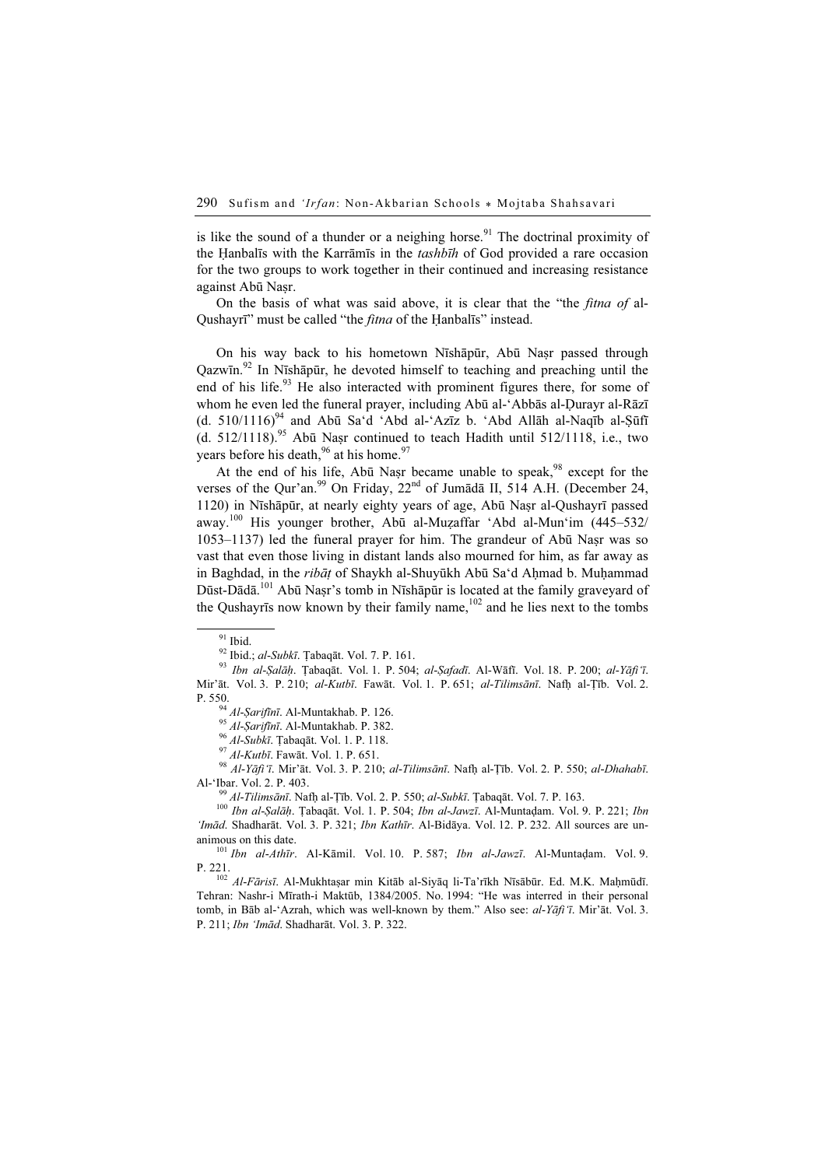is like the sound of a thunder or a neighing horse.<sup>91</sup> The doctrinal proximity of the Ḥanbalīs with the Karrāmīs in the tashbīh of God provided a rare occasion for the two groups to work together in their continued and increasing resistance against Abū Naṣr.

On the basis of what was said above, it is clear that the "the *fitna of* al-Qushayrī" must be called "the fitna of the Ḥanbalīs" instead.

On his way back to his hometown Nīshāpūr, Abū Naṣr passed through Qazwīn.<sup>92</sup> In Nīshāpūr, he devoted himself to teaching and preaching until the end of his life.<sup>93</sup> He also interacted with prominent figures there, for some of whom he even led the funeral prayer, including Abū al-'Abbās al-Durayr al-Rāzī (d.  $510/1116$ <sup>94</sup> and Abū Sa'd 'Abd al-'Azīz b. 'Abd Allāh al-Naqīb al-Şūfī (d. 512/1118).<sup>95</sup> Abū Nașr continued to teach Hadith until 512/1118, i.e., two years before his death,  $96$  at his home.<sup>97</sup>

At the end of his life, Abū Naṣr became unable to speak,<sup>98</sup> except for the verses of the Qur'an.<sup>99</sup> On Friday, 22<sup>nd</sup> of Jumādā II, 514 A.H. (December 24, 1120) in Nīshāpūr, at nearly eighty years of age, Abū Naṣr al-Qushayrī passed away.<sup>100</sup> His younger brother, Abū al-Muẓaffar 'Abd al-Mun'im (445–532/ 1053–1137) led the funeral prayer for him. The grandeur of Abū Naṣr was so vast that even those living in distant lands also mourned for him, as far away as in Baghdad, in the ribāt of Shaykh al-Shuyūkh Abū Sa'd Aḥmad b. Muḥammad Dūst-Dādā.<sup>101</sup> Abū Nasr's tomb in Nīshāpūr is located at the family graveyard of the Qushayrīs now known by their family name, $102$  and he lies next to the tombs

93 Ibn al-Salāh. Ţabaqāt. Vol. 1. P. 504; al-Șafadī. Al-Wāfī. Vol. 18. P. 200; al-Yāfi'ī. Mir'āt. Vol. 3. P. 210; al-Kutbī. Fawāt. Vol. 1. P. 651; al-Tilimsānī. Nafh al-Tīb. Vol. 2. P. 550.<br><sup>94</sup> Al-*Şarifînī*. Al-Muntakhab. P. 126.<br><sup>95</sup> Al-*Şarifînī*. Al-Muntakhab. P. 382.<br><sup>96</sup> Al-*Subkī*. Tabaqāt. Vol. 1. P. 118.<br><sup>97</sup> Al-*Kutbī*. Fawāt. Vol. 1. P. 651.<br><sup>98</sup> Al-Yāfi 'ī. Mir'āt. Vol. 3. P. 210; *al-Til* 

Al-'Ibar. Vol. 2. P. 403.<br><sup>99</sup> Al-Tilimsānī. Nafḥ al-Ṭīb. Vol. 2. P. 550; *al-Subkī*. Ṭabaqāt. Vol. 7. P. 163.<br><sup>100</sup> Ibn al-*Ṣalāḥ*. Ṭabaqāt. Vol. 1. P. 504; *Ibn al-Jawzī*. Al-Muntaḍam. Vol. 9. P. 221; Ibn

'Imād. Shadharāt. Vol. 3. P. 321; Ibn Kathīr. Al-Bidāya. Vol. 12. P. 232. All sources are unanimous on this date.<br><sup>101</sup> Ibn al-Athīr. Al-Kāmil. Vol. 10. P. 587; Ibn al-Jawzī. Al-Muntadam. Vol. 9.

P. 221.<br><sup>102</sup> *Al-Fārisī*. Al-Mukhtaṣar min Kitāb al-Siyāq li-Ta'rīkh Nīsābūr. Ed. M.K. Maḥmūdī.

Tehran: Nashr-i Mīrath-i Maktūb, 1384/2005. No. 1994: "He was interred in their personal tomb, in Bāb al-'Azrah, which was well-known by them." Also see: al-Yāfi'ī. Mir'āt. Vol. 3. P. 211; Ibn 'Imād. Shadharāt. Vol. 3. P. 322.

<sup>&</sup>lt;sup>91</sup> Ibid.<br><sup>92</sup> Ibid.; *al-Subkī*. Țabaqāt. Vol. 7. P. 161.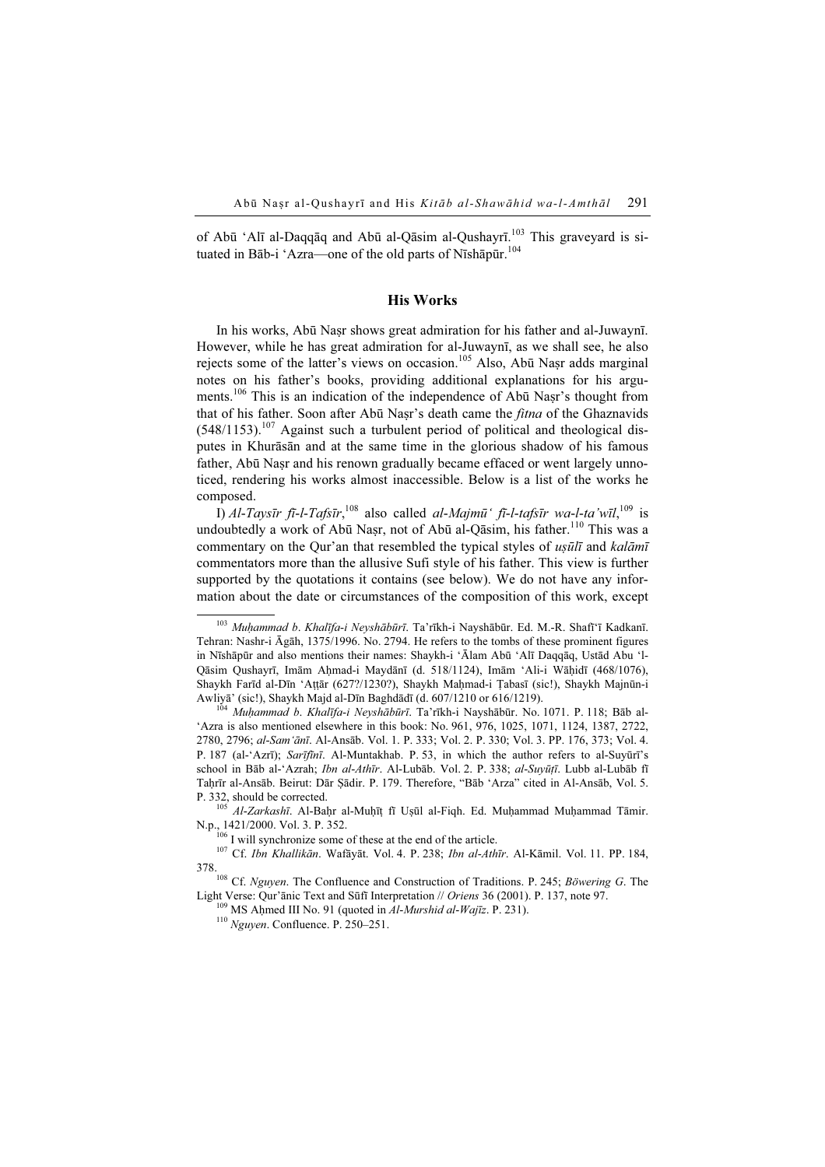of Abū 'Alī al-Daqqāq and Abū al-Qāsim al-Qushayrī.<sup>103</sup> This graveyard is situated in Bāb-i 'Azra—one of the old parts of Nīshāpūr.<sup>104</sup>

## His Works

In his works, Abū Naṣr shows great admiration for his father and al-Juwaynī. However, while he has great admiration for al-Juwaynī, as we shall see, he also rejects some of the latter's views on occasion.<sup>105</sup> Also, Abū Naṣr adds marginal notes on his father's books, providing additional explanations for his arguments.<sup>106</sup> This is an indication of the independence of Abū Naṣr's thought from that of his father. Soon after Abū Naṣr's death came the *fitna* of the Ghaznavids  $(548/1153).$ <sup>107</sup> Against such a turbulent period of political and theological disputes in Khurāsān and at the same time in the glorious shadow of his famous father, Abū Naṣr and his renown gradually became effaced or went largely unnoticed, rendering his works almost inaccessible. Below is a list of the works he composed.

I) Al-Taysīr fī-l-Tafsīr,<sup>108</sup> also called al-Majmū' fī-l-tafsīr wa-l-ta'wīl,<sup>109</sup> is undoubtedly a work of Abū Naṣr, not of Abū al-Qāsim, his father.<sup>110</sup> This was a commentary on the Qur'an that resembled the typical styles of usull and kalāmī commentators more than the allusive Sufi style of his father. This view is further supported by the quotations it contains (see below). We do not have any information about the date or circumstances of the composition of this work, except

<sup>&</sup>lt;sup>103</sup> Muhammad b. Khalīfa-i Neyshābūrī. Ta'rīkh-i Nayshābūr. Ed. M.-R. Shafī'ī Kadkanī. Tehran: Nashr-i Āgāh, 1375/1996. No. 2794. He refers to the tombs of these prominent figures in Nīshāpūr and also mentions their names: Shaykh-i 'Ālam Abū 'Alī Daqqāq, Ustād Abu 'l-Qāsim Qushayrī, Imām Aḥmad-i Maydānī (d. 518/1124), Imām 'Ali-i Wāḥidī (468/1076), Shaykh Farīd al-Dīn 'Aṭṭār (627?/1230?), Shaykh Maḥmad-i Ṭabasī (sic!), Shaykh Majnūn-i Awliyā' (sic!), Shaykh Majd al-Dīn Baghdādī (d. 607/1210 or 616/1219).<br><sup>104</sup> *Muhammad b. Khalīfa-i Neyshābūrī*. Ta'rīkh-i Nayshābūr. No. 1071. P. 118; Bāb al-

<sup>&#</sup>x27;Azra is also mentioned elsewhere in this book: No. 961, 976, 1025, 1071, 1124, 1387, 2722, 2780, 2796; al-Sam'ānī. Al-Ansāb. Vol. 1. P. 333; Vol. 2. P. 330; Vol. 3. PP. 176, 373; Vol. 4. P. 187 (al-'Azrī); Sarīfīnī. Al-Muntakhab. P. 53, in which the author refers to al-Suyūrī's school in Bāb al-'Azrah; Ibn al-Athīr. Al-Lubāb. Vol. 2. P. 338; al-Suyūṭī. Lubb al-Lubāb fī Taḥrīr al-Ansāb. Beirut: Dār Ṣādir. P. 179. Therefore, "Bāb 'Arza" cited in Al-Ansāb, Vol. 5.

P. 332, should be corrected.<br><sup>105</sup> Al-Zarkashī. Al-Baḥr al-Muḥīṭ fī Uṣūl al-Fiqh. Ed. Muḥammad Muḥammad Tāmir.<br>N.p., 1421/2000. Vol. 3. P. 352.

<sup>&</sup>lt;sup>106</sup> I will synchronize some of these at the end of the article.<br><sup>107</sup> Cf. *Ibn Khallikān*. Wafāyāt. Vol. 4. P. 238; *Ibn al-Athīr*. Al-Kāmil. Vol. 11. PP. 184,

<sup>378.&</sup>lt;br><sup>108</sup> Cf. Nguyen. The Confluence and Construction of Traditions. P. 245; Böwering G. The Light Verse: Qur'ānic Text and Sūfī Interpretation // Oriens 36 (2001). P. 137, note 97. 109 MS Aḥmed III No. 91 (quoted in *Al-Murshid al-Wajīz*. P. 231). <sup>110</sup> Nguyen. Confluence. P. 250–251.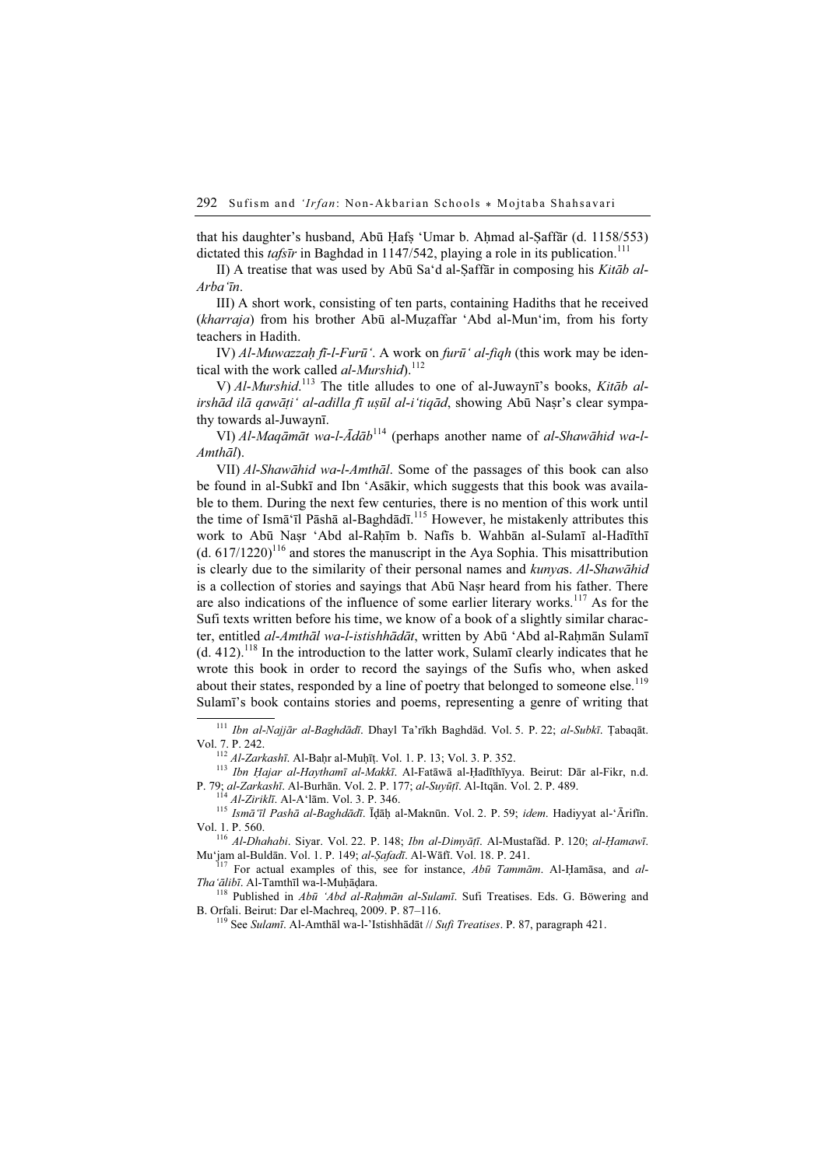that his daughter's husband, Abū Hafs 'Umar b. Ahmad al-Saffār (d. 1158/553) dictated this tafsīr in Baghdad in 1147/542, playing a role in its publication.<sup>111</sup>

II) A treatise that was used by Abū Sa'd al-Saffār in composing his Kitāb al-Arba'īn.

III) A short work, consisting of ten parts, containing Hadiths that he received (kharraja) from his brother Abū al-Muzaffar 'Abd al-Mun'im, from his forty teachers in Hadith.

IV) Al-Muwazzah fī-l-Furū'. A work on furū' al-fiqh (this work may be identical with the work called *al-Murshid*).<sup>112</sup>

V) Al-Murshid.<sup>113</sup> The title alludes to one of al-Juwaynī's books, Kitāb alirshād ilā qawāti' al-adilla fī usūl al-i'tiqād, showing Abū Naṣr's clear sympathy towards al-Juwaynī.

VI) Al-Maqāmāt wa-l-Ādāb<sup>114</sup> (perhaps another name of al-Shawāhid wa-l-Amthāl).

VII) Al-Shawāhid wa-l-Amthāl. Some of the passages of this book can also be found in al-Subkī and Ibn 'Asākir, which suggests that this book was available to them. During the next few centuries, there is no mention of this work until the time of Ismā'īl Pāshā al-Baghdādī.<sup>115</sup> However, he mistakenly attributes this work to Abū Naṣr 'Abd al-Raḥīm b. Nafīs b. Wahbān al-Sulamī al-Hadīthī  $(d. 617/1220)^{116}$  and stores the manuscript in the Aya Sophia. This misattribution is clearly due to the similarity of their personal names and kunyas. Al-Shawāhid is a collection of stories and sayings that Abū Nasr heard from his father. There are also indications of the influence of some earlier literary works.<sup>117</sup> As for the Sufi texts written before his time, we know of a book of a slightly similar character, entitled al-Amthāl wa-l-istishhādāt, written by Abū 'Abd al-Rahmān Sulamī  $(d. 412)^{118}$  In the introduction to the latter work, Sulamī clearly indicates that he wrote this book in order to record the sayings of the Sufis who, when asked about their states, responded by a line of poetry that belonged to someone else.<sup>119</sup> Sulamī's book contains stories and poems, representing a genre of writing that

Vol. 7. P. 242.<br><sup>112</sup> Al-Zarkashī. Al-Baḥr al-Muḥīṭ. Vol. 1. P. 13; Vol. 3. P. 352.<br><sup>113</sup> Ibn Ḥajar al-Haythamī al-Makkī. Al-Fatāwā al-Ḥadīthīyya. Beirut: Dār al-Fikr, n.d.<br>P. 79; al-Zarkashī. Al-Burhān. Vol. 2. P. 177; al

<sup>114</sup> *Al-Ziriklī*. Al-A'lām. Vol. 3. P. 346.<br><sup>115</sup> Ismā'īl Pashā al-Baghdādī. Īḍāḥ al-Maknūn. Vol. 2. P. 59; idem. Hadiyyat al-'Ārifīn. Vol. 1. P. 560.

<sup>116</sup> Al-Dhahabi. Siyar. Vol. 22. P. 148; *Ibn al-Dimyāṭī*. Al-Mustafād. P. 120; al-Ḥamawī. Mu<sup>4</sup>jam al-Buldān. Vol. 1. P. 149; al-*Ṣafadī*. Al-Wāfī. Vol. 18. P. 241.

<sup>117</sup> For actual examples of this, see for instance,  $Ab\bar{u}$  Tammām. Al-Ḥamāsa, and al-Tha'ālibī. Al-Tamthīl wa-l-Muḥāḍara.<br><sup>118</sup> Published in Abū 'Abd al-Raḥmān al-Sulamī. Sufi Treatises. Eds. G. Böwering and

B. Orfali. Beirut: Dar el-Machreq, 2009. P. 87–116.<br><sup>119</sup> See *Sulamī*. Al-Amthāl wa-l-'Istishhādāt // *Sufi Treatises*. P. 87, paragraph 421.

<sup>111</sup> Ibn al-Najjār al-Baghdādī. Dhayl Ta'rīkh Baghdād. Vol. 5. P. 22; al-Subkī. Ṭabaqāt.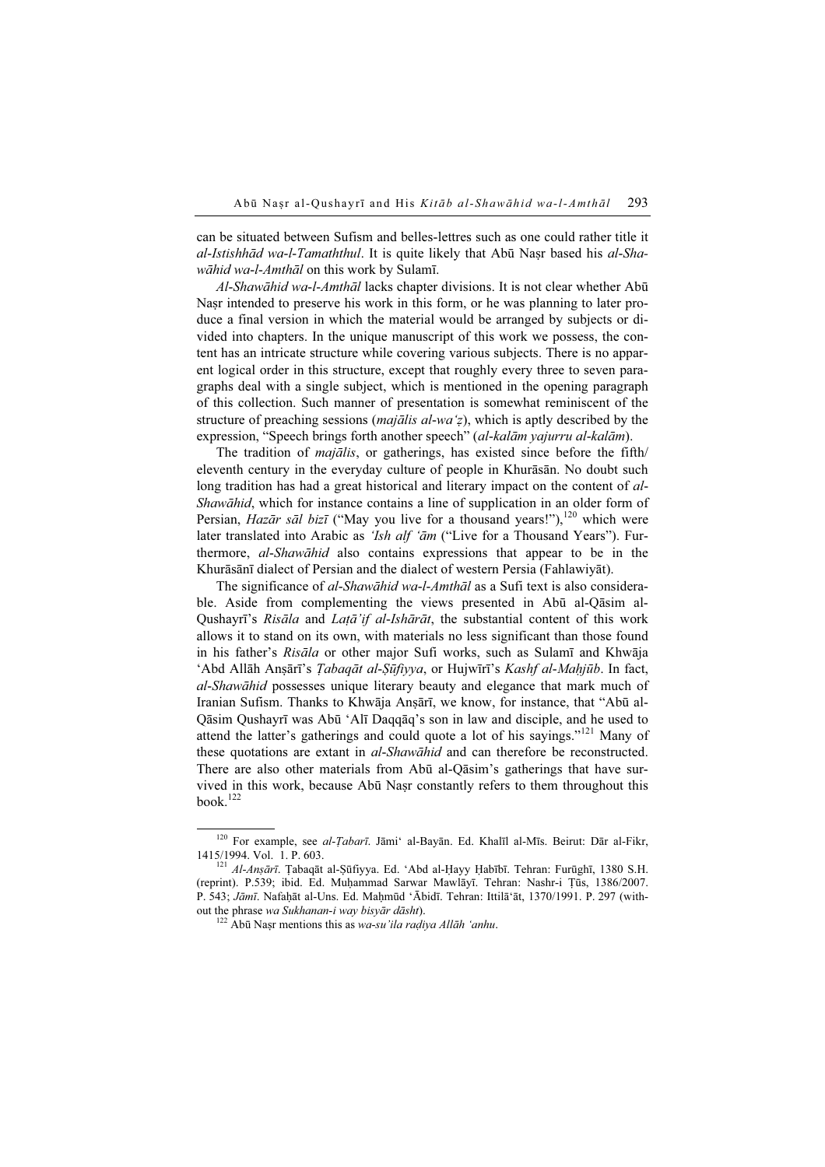can be situated between Sufism and belles-lettres such as one could rather title it al-Istishhād wa-l-Tamaththul. It is quite likely that Abū Naṣr based his al-Shawāhid wa-l-Amthāl on this work by Sulamī.

Al-Shawāhid wa-l-Amthāl lacks chapter divisions. It is not clear whether Abū Nasr intended to preserve his work in this form, or he was planning to later produce a final version in which the material would be arranged by subjects or divided into chapters. In the unique manuscript of this work we possess, the content has an intricate structure while covering various subjects. There is no apparent logical order in this structure, except that roughly every three to seven paragraphs deal with a single subject, which is mentioned in the opening paragraph of this collection. Such manner of presentation is somewhat reminiscent of the structure of preaching sessions (*majālis al-wa'z*), which is aptly described by the expression, "Speech brings forth another speech" (al-kalām yajurru al-kalām).

The tradition of majālis, or gatherings, has existed since before the fifth/ eleventh century in the everyday culture of people in Khurāsān. No doubt such long tradition has had a great historical and literary impact on the content of al-Shawāhid, which for instance contains a line of supplication in an older form of Persian, Hazār sāl bizī ("May you live for a thousand years!"),<sup>120</sup> which were later translated into Arabic as 'Ish alf 'am ("Live for a Thousand Years"). Furthermore, al-Shawāhid also contains expressions that appear to be in the Khurāsānī dialect of Persian and the dialect of western Persia (Fahlawiyāt).

The significance of al-Shawāhid wa-l-Amthāl as a Sufi text is also considerable. Aside from complementing the views presented in Abū al-Qāsim al-Qushayrī's Risāla and Latā'if al-Ishārāt, the substantial content of this work allows it to stand on its own, with materials no less significant than those found in his father's Risāla or other major Sufi works, such as Sulamī and Khwāja 'Abd Allāh Anṣārī's *Tabaqāt al-Sūfiyya*, or Hujwīrī's *Kashf al-Mahjūb*. In fact, al-Shawāhid possesses unique literary beauty and elegance that mark much of Iranian Sufism. Thanks to Khwāja Anṣārī, we know, for instance, that "Abū al-Qāsim Qushayrī was Abū 'Alī Daqqāq's son in law and disciple, and he used to attend the latter's gatherings and could quote a lot of his sayings."<sup>121</sup> Many of these quotations are extant in *al-Shawāhid* and can therefore be reconstructed. There are also other materials from Abū al-Qāsim's gatherings that have survived in this work, because Abū Naṣr constantly refers to them throughout this book. $122$ 

<sup>120</sup> For example, see al-Ṭabarī. Jāmi' al-Bayān. Ed. Khalīl al-Mīs. Beirut: Dār al-Fikr, 1415/1994. Vol. 1. P. 603.<br><sup>121</sup> *Al-Anṣārī*. Tabaqāt al-Ṣūfiyya. Ed. 'Abd al-Hayy Habībī. Tehran: Furūghī, 1380 S.H.

<sup>(</sup>reprint). P.539; ibid. Ed. Muḥammad Sarwar Mawlāyī. Tehran: Nashr-i Ṭūs, 1386/2007. P. 543; Jāmī. Nafaḥāt al-Uns. Ed. Maḥmūd 'Ābidī. Tehran: Ittilā'āt, 1370/1991. P. 297 (without the phrase wa Sukhanan-i way bisyār dāsht).<br><sup>122</sup> Abū Naṣr mentions this as wa-su'ila raḍiya Allāh 'anhu.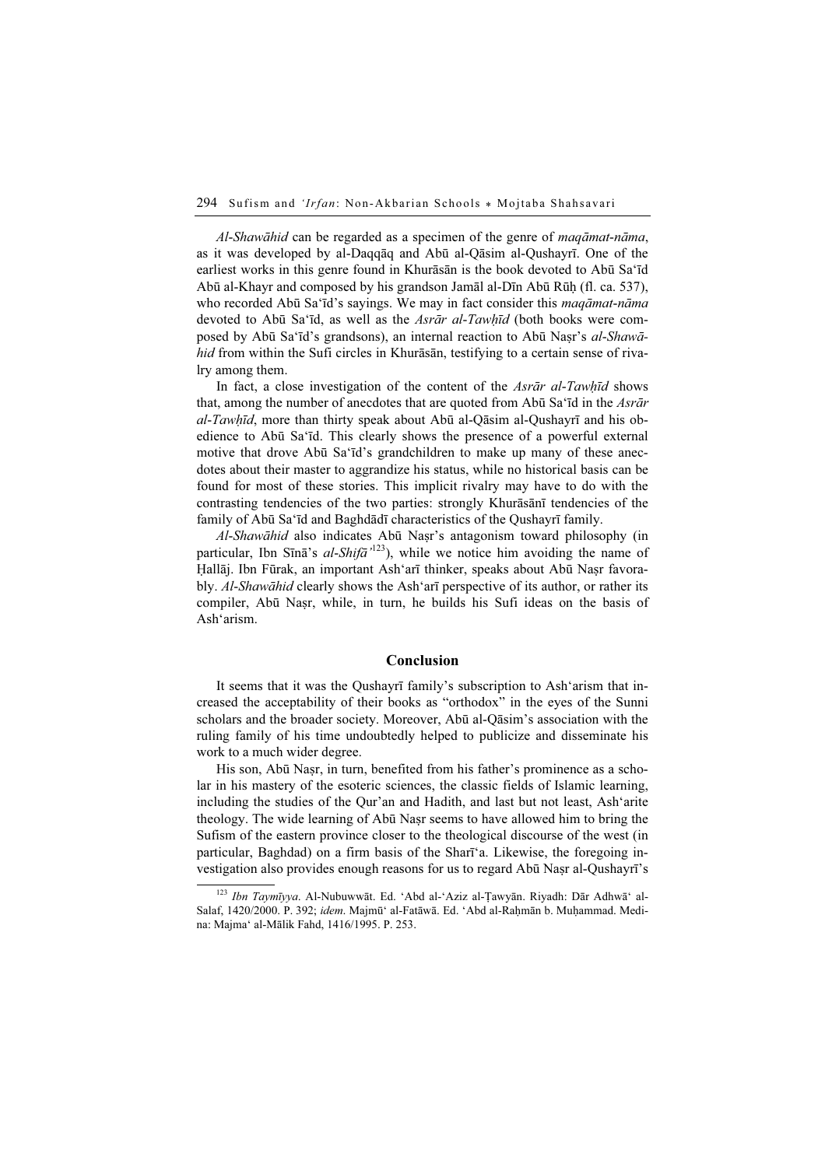Al-Shawāhid can be regarded as a specimen of the genre of maqāmat-nāma, as it was developed by al-Daqqāq and Abū al-Qāsim al-Qushayrī. One of the earliest works in this genre found in Khurāsān is the book devoted to Abū Sa'īd Abū al-Khayr and composed by his grandson Jamāl al-Dīn Abū Rūḥ (fl. ca. 537), who recorded Abū Sa'īd's sayings. We may in fact consider this *maqāmat-nāma* devoted to Abū Sa'īd, as well as the Asrār al-Tawhīd (both books were composed by Abū Sa'īd's grandsons), an internal reaction to Abū Naṣr's al-Shawāhid from within the Sufi circles in Khurāsān, testifying to a certain sense of rivalry among them.

In fact, a close investigation of the content of the Asrar al-Tawhid shows that, among the number of anecdotes that are quoted from Abū Sa'īd in the *Asrār*  $al-Tawh\bar{d}$ , more than thirty speak about Abū al-Qāsim al-Qushayrī and his obedience to Abū Sa'īd. This clearly shows the presence of a powerful external motive that drove Abū Sa'īd's grandchildren to make up many of these anecdotes about their master to aggrandize his status, while no historical basis can be found for most of these stories. This implicit rivalry may have to do with the contrasting tendencies of the two parties: strongly Khurāsānī tendencies of the family of Abū Sa'īd and Baghdādī characteristics of the Qushayrī family.

Al-Shawāhid also indicates Abū Naṣr's antagonism toward philosophy (in particular, Ibn Sīnā's al-Shifā<sup>'123</sup>), while we notice him avoiding the name of Hallāj. Ibn Fūrak, an important Ash'arī thinker, speaks about Abū Naṣr favorably. Al-Shawāhid clearly shows the Ash'arī perspective of its author, or rather its compiler, Abū Naṣr, while, in turn, he builds his Sufi ideas on the basis of Ash'arism.

#### Conclusion

It seems that it was the Qushayrī family's subscription to Ash'arism that increased the acceptability of their books as "orthodox" in the eyes of the Sunni scholars and the broader society. Moreover, Abū al-Qāsim's association with the ruling family of his time undoubtedly helped to publicize and disseminate his work to a much wider degree.

His son, Abū Naṣr, in turn, benefited from his father's prominence as a scholar in his mastery of the esoteric sciences, the classic fields of Islamic learning, including the studies of the Qur'an and Hadith, and last but not least, Ash'arite theology. The wide learning of Abū Naṣr seems to have allowed him to bring the Sufism of the eastern province closer to the theological discourse of the west (in particular, Baghdad) on a firm basis of the Sharī'a. Likewise, the foregoing investigation also provides enough reasons for us to regard Abū Naṣr al-Qushayrī's

 $^{123}$  Ibn Taymīyya. Al-Nubuwwāt. Ed. 'Abd al-'Aziz al-Ţawyān. Riyadh: Dār Adhwā' al-Salaf, 1420/2000. P. 392; idem. Majmūʻ al-Fatāwā. Ed. 'Abd al-Rahmān b. Muḥammad. Medina: Majma' al-Mālik Fahd, 1416/1995. P. 253.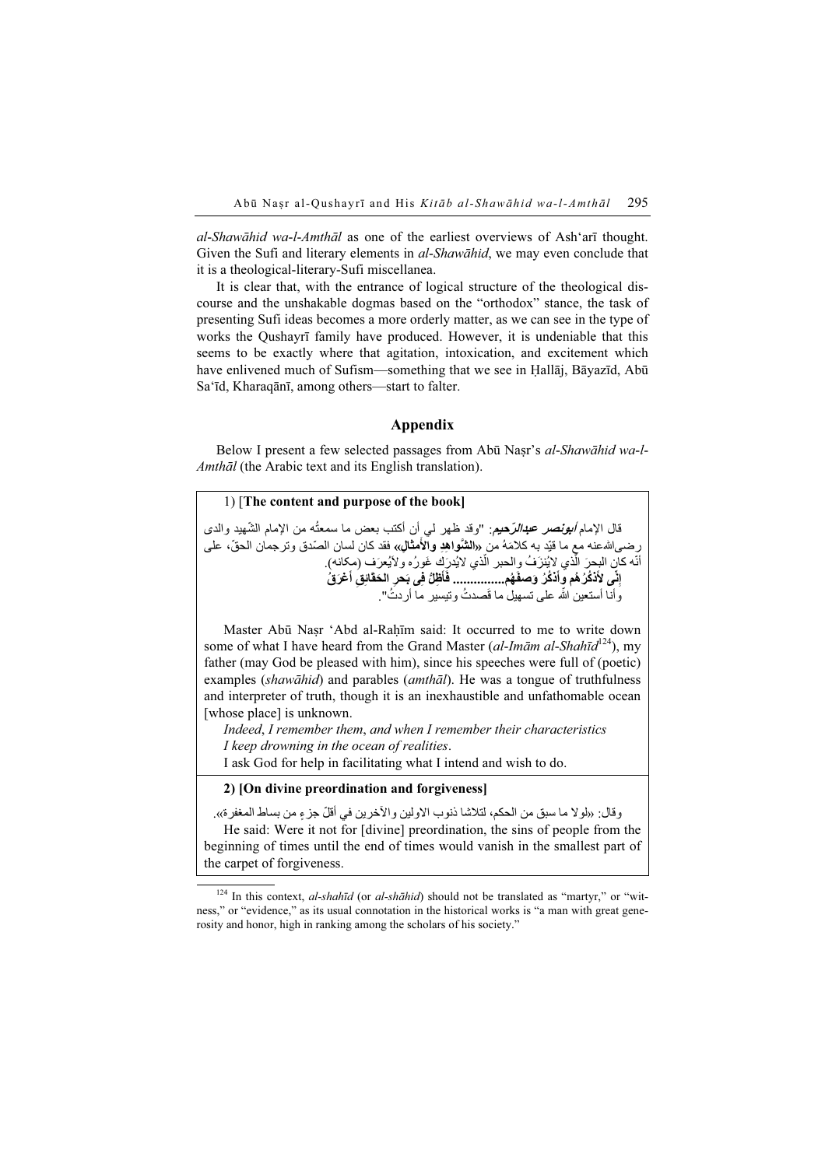al-Shawāhid wa-l-Amthāl as one of the earliest overviews of Ash'arī thought. Given the Sufi and literary elements in *al-Shawāhid*, we may even conclude that it is a theological-literary-Sufi miscellanea.

It is clear that, with the entrance of logical structure of the theological discourse and the unshakable dogmas based on the "orthodox" stance, the task of presenting Sufi ideas becomes a more orderly matter, as we can see in the type of works the Qushayrī family have produced. However, it is undeniable that this seems to be exactly where that agitation, intoxication, and excitement which have enlivened much of Sufism—something that we see in Ḥallāj, Bāyazīd, Abū Sa'īd, Kharaqānī, among others—start to falter.

### Appendix

Below I present a few selected passages from Abū Naṣr's al-Shawāhid wa-l-Amthāl (the Arabic text and its English translation).

#### 1) [The content and purpose of the book]

.<br>قال الإمام *أبونصر عبدالرّحيم:* "وقد ظهر لمي أن أكتب بعض ما سمعتُه من الإمام الشّهيد والدى " ֧<u>֚</u> ֺ֖֧֧֧֪ׅ֪֪֪֧֪֧֧֧֧֧֧֚֚֚֚֚֚֚֚֚֚֚֚֚֚֚֓֡֓֓֓֡֓֬֓֓֡֓֬֓֓֬֓֓֬֓֓֬֓֓֝֬֓֓֬֓֓֝֬֓֝֬֓֬֝֬֝֬֝֬֝֬֬֝֬֝֬֝֬֝֬֝֬֝֬ ــن , مُعتم كوست كوستر كو مشاركتيم. " وقت منهن في أن السبب بنفس ما مستعب من أم مع السفيد والدى<br>رضى الله عنه مع ما قيّد به كلامَهُ من «ال**شُواهِدِ والأمثالِ»،** فقد كان لسان الصّدق وترجمان الحقّ، على رصـى\المـُعـَـه مـع مـا قليد بـه خدمـه مـن «ال**سـوا هِد والامعـا**لِ» فقد خان لسـان الـ<br>أنّه كان البحرَ الذي لايُنزَفُ والـحبر الذي لايُدرَكَ غَورُه و لايُعرَف (مكانه). ֺ֖֖֖֖֖֖֖֖֖֖֖֪ׅ֚֚֚֚֚֚֚֚֚֚֚֚֚֚֝֬֝<u>֟</u> إِنِّ*ى* لأَنْكُرُ هُم وأَنْكُرُ وَصفَهُم................ فَأَظِّلُّ فِى بَحرِ الحَقَّائِقِ أَعْرَقُ<br>وأنا أستعين اللَّه على تسهيل ما قَصدتُ وتيسير ما أردتُ". َ

Master Abū Naṣr 'Abd al-Raḥīm said: It occurred to me to write down some of what I have heard from the Grand Master (al-Imām al-Shahīd<sup>124</sup>), my father (may God be pleased with him), since his speeches were full of (poetic) examples (shawāhid) and parables (amthāl). He was a tongue of truthfulness and interpreter of truth, though it is an inexhaustible and unfathomable ocean [whose place] is unknown.

Indeed, I remember them, and when I remember their characteristics I keep drowning in the ocean of realities.

I ask God for help in facilitating what I intend and wish to do.

### 2) [On divine preordination and forgiveness]

وقال: «لوال ما سبق من الحكم، لتالشا ذنوب االولين واآلخ رين في أقل ٍ جزء من بساط المغفرة». ّ

He said: Were it not for [divine] preordination, the sins of people from the beginning of times until the end of times would vanish in the smallest part of the carpet of forgiveness.

 $124$  In this context, al-shahīd (or al-shāhid) should not be translated as "martyr," or "witness," or "evidence," as its usual connotation in the historical works is "a man with great generosity and honor, high in ranking among the scholars of his society."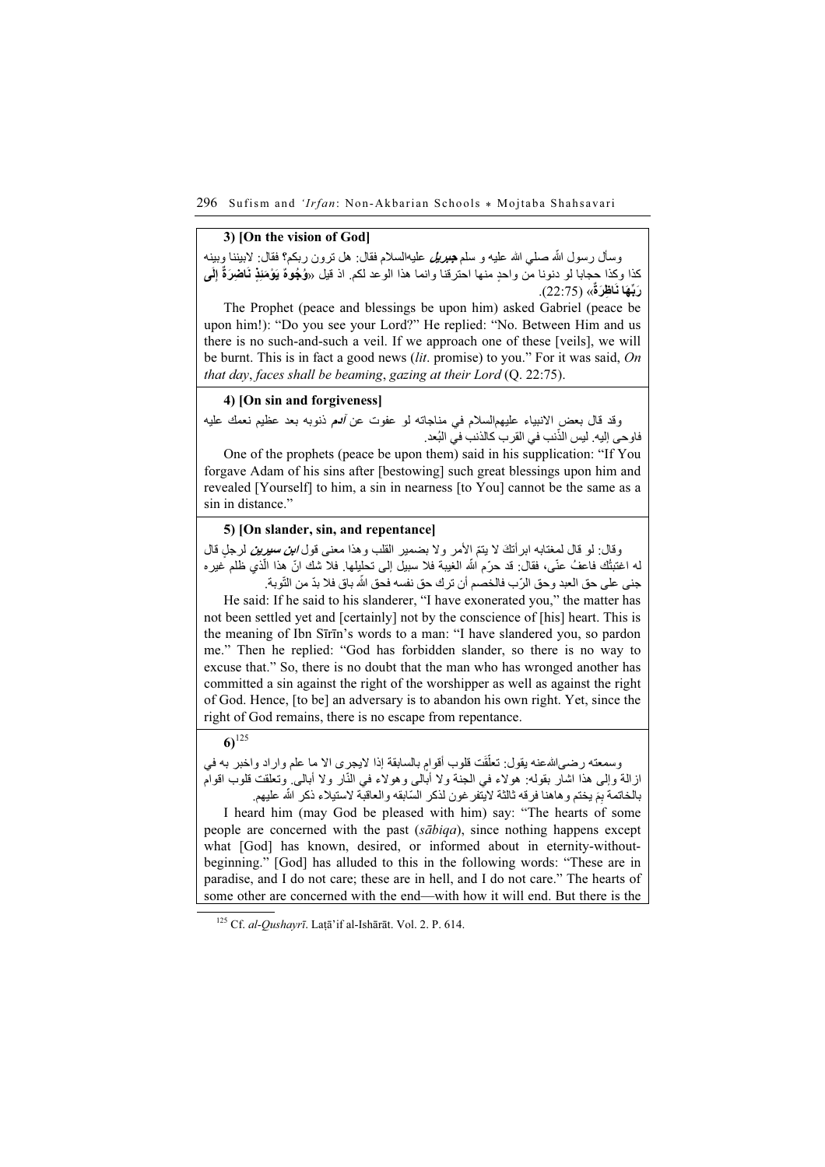## 3) [On the vision of God]

وسال رسول الله صلـي الله عليه و سلم *جبريل ع*ليهالسلام فقال: هل نزون ربكم؟ فقال: لابيننا وبينه<br>وسأل رسول الله صلـي الله عليه و سلم *جبريل* عليهالسلام فقال: هل نزون ربكم؟ فقال: لابيننا وبينه ُ كذا وكذا حجابا لو دنونا من واحدٍ منها احترقنا وانما هذا الوعد لكم. اذ قيل «و**ُجُوهٌ يَوْمَئِذٍ نَاضِرَةٌ إِلَي**<br>كذا وكذا حجابا لو دنونا من واحدٍ منها احترقنا وانما هذا الوعد لكم. اذ قيل «وُ**جُوهٌ يَوْمَئِذٍ نَاضِرَةٌ إِ** ب ويا باطرة» (22:75).<br>رَبِّهَا نَاظِرَةٌ» (22:75).

The Prophet (peace and blessings be upon him) asked Gabriel (peace be upon him!): "Do you see your Lord?" He replied: "No. Between Him and us there is no such-and-such a veil. If we approach one of these [veils], we will be burnt. This is in fact a good news *(lit. promise)* to you." For it was said, *On* that day, faces shall be beaming, gazing at their Lord (Q. 22:75).

## 4) [On sin and forgiveness]

وقد قال بعض الانبياء عليهمالسلام في مناجاته لو عفوت عن *ألـم* ذنوبه بعد عظيم نعمك عليه وقد قان بعض الانبياء عليهمالسلام في مناجا<br>فاوحى إليه. ليس الذّنب في القرب كالذنب في البُعد.

One of the prophets (peace be upon them) said in his supplication: "If You forgave Adam of his sins after [bestowing] such great blessings upon him and revealed [Yourself] to him, a sin in nearness [to You] cannot be the same as a sin in distance."

## 5) [On slander, sin, and repentance]

.<br>وقال: لو قال لمغنابه ابرأتكَ لا يتمّ الأمر ولا بضمير القلب وهذا معنى قول *ابن سيرين* لرجلٍ قال ।<br>ः ا<br>ا وفان: نو فان نمعنابه ابرانك لا ينم الامر ولا بصمير القلب وهذا معنى قول *الله سُهرين ارجلِ قال*<br>له اغتبتُك فاعفُ عنّى، فقال: قد حرّم الله الغيبة فلا سبيل إلى تحليلها. فلا شك انّ هذا الّذى ظلم غيره ֖֖֖֧֦֧ׅ֧֦֧ׅ֧֚֚֚֚֚֚֚֚֚֚֚֡֜֓֜֓֓<u>֚</u> ֖֖֖֚֚֚֚֚֚֚֚֚֚֚֚֚֚֡<br>֧֚֚֚֝<br>֧֚֚֝ ֖֧֧֪֪֪ׅ֧֧֪ׅ֧֧֪֪ׅ֧֪֪ׅ֧֪֪֪֪֪֪֪֪ׅ֚֚֚֚֚֚֚֚֚֚֚֚֚֚֚֚֚֚֚֚֡֡֡֡֬֓֝֬֝֟֓֡֬֓֓֞֬֓֝֬֓֓֝֬֝֬֓֝֬֓֝֬֝֬ ֖֖֖֖֖֖֖֖֖֖֖֖֖֖ׅ֚֚֚֚֚֚֚֚֚֚֚֚֚֚֚֡֬**֓** جني على حق العبد وحق الرّب فالخصم أن ترك حق نفسه فحق الله باق فلا بدّ من النّوبة.

He said: If he said to his slanderer, "I have exonerated you," the matter has not been settled yet and [certainly] not by the conscience of [his] heart. This is the meaning of Ibn Sīrīn's words to a man: "I have slandered you, so pardon me." Then he replied: "God has forbidden slander, so there is no way to excuse that." So, there is no doubt that the man who has wronged another has committed a sin against the right of the worshipper as well as against the right of God. Hence, [to be] an adversary is to abandon his own right. Yet, since the right of God remains, there is no escape from repentance.

# $6)$ <sup>125</sup>

َر.<br>وسمعته رضـي|للهـعنه بقول: تعلّقَت قلوب أقوام بالسابقة إذا لايجرى الا ما علم واراد واخبر به في وسمعته رصـي،سمـعـة بعون: تعلقت قلوب اقوامِ باسابعه إذا لايجري الا ما علم واراد واحبر به في<br>از الـة و إلـى هذا اشار بقو لـه: هو لاء فـي الـجنة و لا أبالـي و هو لاء فـي النّـار و لا أبالـي وتعلقت قلوب اقوام َيزات والي هذا السر بيوت . للواء في الله فرق اليتفرغون الموارغ التي السر والا السيكي. وستنت<br>بالخاتمة بِمَ يختم و هاهنا فرقه ثالثة لايتفرغون لذكر السّابقه والعاقبة لاستيلاء ذكر الله عليهم. ّ

I heard him (may God be pleased with him) say: "The hearts of some people are concerned with the past (sābiqa), since nothing happens except what [God] has known, desired, or informed about in eternity-withoutbeginning." [God] has alluded to this in the following words: "These are in paradise, and I do not care; these are in hell, and I do not care." The hearts of some other are concerned with the end—with how it will end. But there is the

<sup>&</sup>lt;sup>125</sup> Cf. al-Qushayrī. Laṭā'if al-Ishārāt. Vol. 2. P. 614.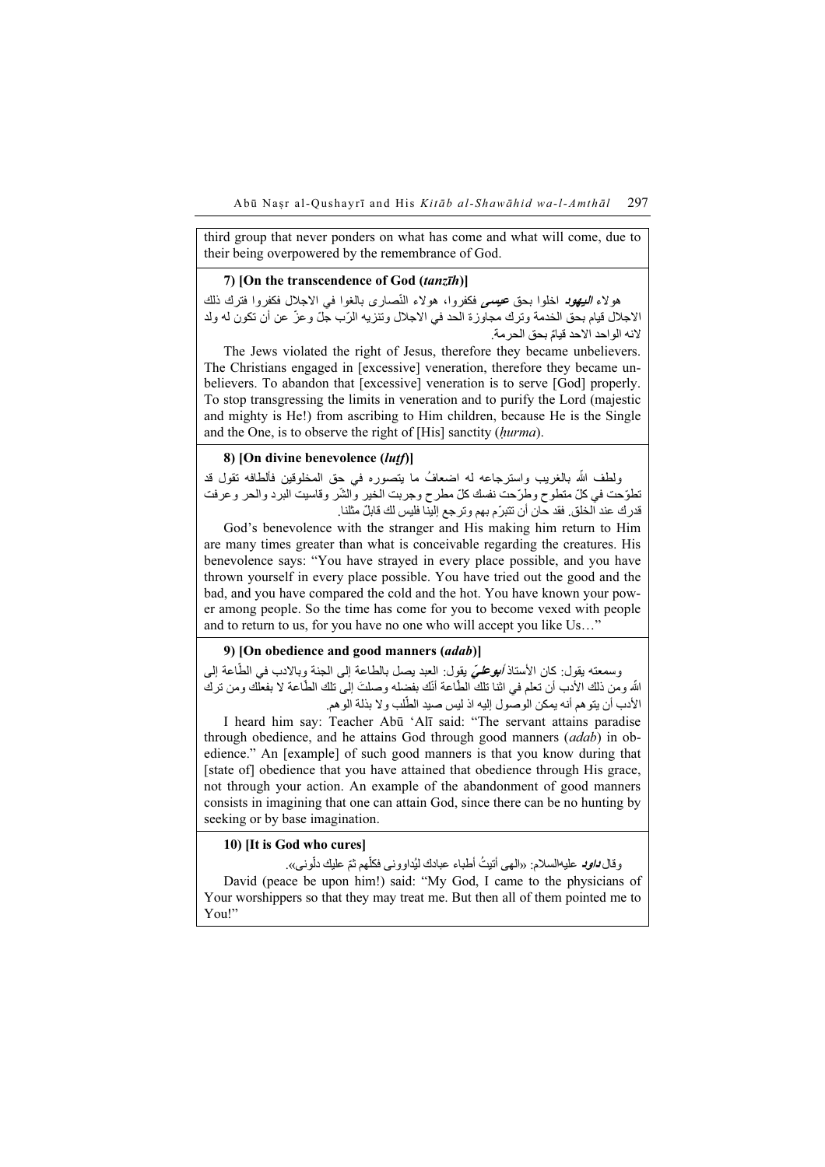third group that never ponders on what has come and what will come, due to their being overpowered by the remembrance of God.

## 7) [On the transcendence of God (tanzīh)]

ر بالغار بالغار المستقدم العامل المستقدم الله من استعمام الله عليه العامل في المجال العامل العامل العامل العام<br>هولاء *السِهوب اخلوا بحق عيسمي فكفروا، هولاء النّصارى ب*الغوا في الاجلال فكفروا فترك ذلك ّالاجلال قيام بحق الخدمة وترك مجاورة الحد في الاجلال وتنزيه الرّب جلّ وعزّ عن أن تكون له ولد ٌالنه الواحد االحد قيام بحق الحرمة.

The Jews violated the right of Jesus, therefore they became unbelievers. The Christians engaged in [excessive] veneration, therefore they became unbelievers. To abandon that [excessive] veneration is to serve [God] properly. To stop transgressing the limits in veneration and to purify the Lord (majestic and mighty is He!) from ascribing to Him children, because He is the Single and the One, is to observe the right of [His] sanctity (hurma).

## 8) [On divine benevolence (luṭf)]

ولطف الله بالغريب واسترجاعه له اضعافُ ما يتصوره في حق المخلوقين فألطافه تقول قد ّتطوّحت في كلّ متطوح وطرّحت نفسك كلّ مطرح وجربت الخير والشّر وقاسيت البرد والحر وعرفت ستوست سي س متصور و سركت سست س مصرر و مبريت ،سير و سر<br>قدر ك عند الخلق. فقد حان أن تتبرّ م بهم و تر جع إلينا فليس لك قابلٌ مثلنا.

God's benevolence with the stranger and His making him return to Him are many times greater than what is conceivable regarding the creatures. His benevolence says: "You have strayed in every place possible, and you have thrown yourself in every place possible. You have tried out the good and the bad, and you have compared the cold and the hot. You have known your power among people. So the time has come for you to become vexed with people and to return to us, for you have no one who will accept you like Us…"

## 9) [On obedience and good manners (adab)]

ر/ On obcurence and good manners (auub)]<br>وسمعته يقول: كان الأستاذ *أبهوطميَ* يقول: العبد يصل بالطاعة إلى الجنة وبالادب في الطّاعة إلى وسمعنه يقول: كان الاسناد *ابورعلي* يقول: العبد يصل بالطاعه إلى الجنه وبالادب في الطاعه إلى<br>الله ومن ذلك الأدب أن تعلم في اثنا تلك الطّاعة أنّك بفضله وصلتَ إلى تلك الطّاعة لا بفعلك ومن ترك ֧֖֧֧֖֪֪֪֪֪֪֪֪֪֪֪֦֚֚֚֚֚֚֚֚֚֚֚֚֚֚֚֚֚֚֚֚֚֚֚֚֚֝֡֝֓֞֟֓֡֞֟֓֡֓֓֞֡֓֓֡֟֓֓֞֞֟ َ֧֖֖֖֧֚֚֚֚֚֚֚֚֚֚֚֚֚֚֚֚֝<u>֓</u> ֖֧֧֧֧֪֦֧֧֧֧֧֧֧֧֧֚֚֚֚֚֚֚֚֚֚֚֡֝֝֓֡֓֓֡֓֓֝֬֝֓֝֬֝֟֓֟֓֓֝֬֝֓֝֬֝֬֝֬֝֬֝֬֝֬֝֬ ..... وس علي الله علي الله علي الله عليه الله عليه الله عليه الله عليه الله عليه الله عليه عليه الله عليه الله<br>الأدب أن يتو هم أنه يمكن الوصول إليه اذ ليس صيد الطّلب و لا بذلة الو هم.

I heard him say: Teacher Abū 'Alī said: "The servant attains paradise through obedience, and he attains God through good manners (adab) in obedience." An [example] of such good manners is that you know during that [state of] obedience that you have attained that obedience through His grace, not through your action. An example of the abandonment of good manners consists in imagining that one can attain God, since there can be no hunting by seeking or by base imagination.

## 10) [It is God who cures]

od who cares<sub>I</sub><br>وقال *داود* عليهالسلام: «الـهي أتنيتُ أطباء عبادك ليُداوونـي فكلّـهم ثمّ عليك دلّونـي». ֧֦֧֦֧֚֚֡<u>֚</u> David (peace be upon him!) said: "My God, I came to the physicians of Your worshippers so that they may treat me. But then all of them pointed me to You!"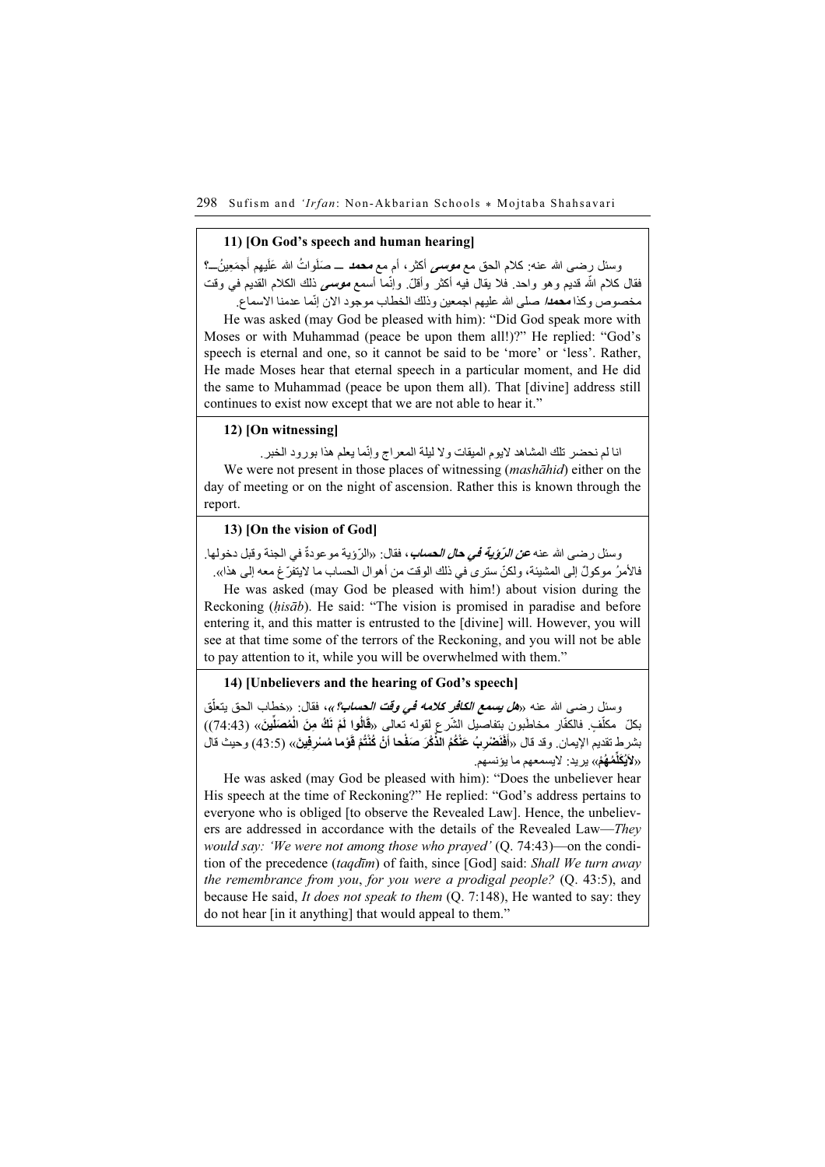#### 11) [On God's speech and human hearing]

َوسئل رضــى الله عنـه: كلام الـحق مع *مـوســى* أكثر ، أم مـع **مـحـهـ** ــــ صَلَواتُ الله عَلَيهِم أَجمَعِينُـــ؟ **ا** َ ُوسس رصدي اللہ عنہ. تنكم الحق مع **سوست**ي المرّ ام مع معظم ــــ صلوّ اتّ اللہ عليهم الجمعيلــــــــــــــــــــــ<br>فقال كلام الله قديم وهو واحد. فلا يقال فيه أكثر وأقلّ وإنما أس*مع موسمي* ذلك الكلام القديم في وقت سان سام اسا سيم ولس واحد. سام يين سي استرا واس. وإسه استح <del>موسى</del> عدم است السام السيم .<br>مخصوص وكذا **مح***دا،* **صلى الله عليهم اجمعين وذلك الخطا**ب موجود الان إنّما عدمنا الاسماع.

He was asked (may God be pleased with him): "Did God speak more with Moses or with Muhammad (peace be upon them all!)?" He replied: "God's speech is eternal and one, so it cannot be said to be 'more' or 'less'. Rather, He made Moses hear that eternal speech in a particular moment, and He did the same to Muhammad (peace be upon them all). That [divine] address still continues to exist now except that we are not able to hear it."

## 12) [On witnessing]

انا لم نحضر تلك المشاھد لايوم الميقات و لا ليلة المعر اج و إنّما يعلم ھذا بور و د الخبر .<br>. We were not present in those places of witnessing *(mashāhid)* either on the day of meeting or on the night of ascension. Rather this is known through the report.

## 13) [On the vision of God]

وسئل رضمي الله عنه *عن الرَوْية في حال الحساب*، فقال: «الرَوْية موعودةٌ في الجنة وقبل دخولها. ُفاألمر ٌ موكول ّ إلى المشيئة، ولكن ّ سترى في ذلك الوقت من أھوال الحساب ما اليتفرغ معه إلى ھذا».

He was asked (may God be pleased with him!) about vision during the Reckoning (hisāb). He said: "The vision is promised in paradise and before entering it, and this matter is entrusted to the [divine] will. However, you will see at that time some of the terrors of the Reckoning, and you will not be able to pay attention to it, while you will be overwhelmed with them."

## 14) [Unbelievers and the hearing of God's speech]

وسنل رضمى الله عنه «*هل يسمع الكافر كلامه في وقت الحساب؟*»، فقال: «خطاب الحق يتعلّق **ـ** ֖֖֖֚֚֚֚֚֚֚֚֚֚֚֚֚֚֚֚֚֡֬֝<br>֧֧֪֪֪֪֪֪֪֪֪֝֩֩ وسس رصدي الله عنه «*الله تعليمه الشاعر شدمه في وقت العصاب؟»*، قدان: «حصاب الحق بيعلق<br>بكلّ مكلّفٍ. فالكفّار مخاطّبون بِتفاصيل الشّرع لقوله نعالى «قَالُوا لَّغْ نَكُّ مِنَ الْمُصَلِّينَ» (74:43)) ֖֧֡֡֬֟֟֓֓<u>֖</u> َ .<br>بشرط تقديم الإيمان. وقد قال «أَفْنَضْرِبٌ عَنْكُمُ الذَّكْرَ صَفْحا أنْ كُنْتُمْ قَوْما مُسْرِفِينَ» (43:5) وحيث قال َُِّم ُھ ْم» يريد: اليسمعھم ما يؤنسھم. ُ َكل َي «ال

He was asked (may God be pleased with him): "Does the unbeliever hear His speech at the time of Reckoning?" He replied: "God's address pertains to everyone who is obliged [to observe the Revealed Law]. Hence, the unbelievers are addressed in accordance with the details of the Revealed Law—They would say: 'We were not among those who prayed' (Q. 74:43)—on the condition of the precedence (taqdīm) of faith, since [God] said: Shall We turn away the remembrance from you, for you were a prodigal people? (Q. 43:5), and because He said, It does not speak to them (Q. 7:148), He wanted to say: they do not hear [in it anything] that would appeal to them."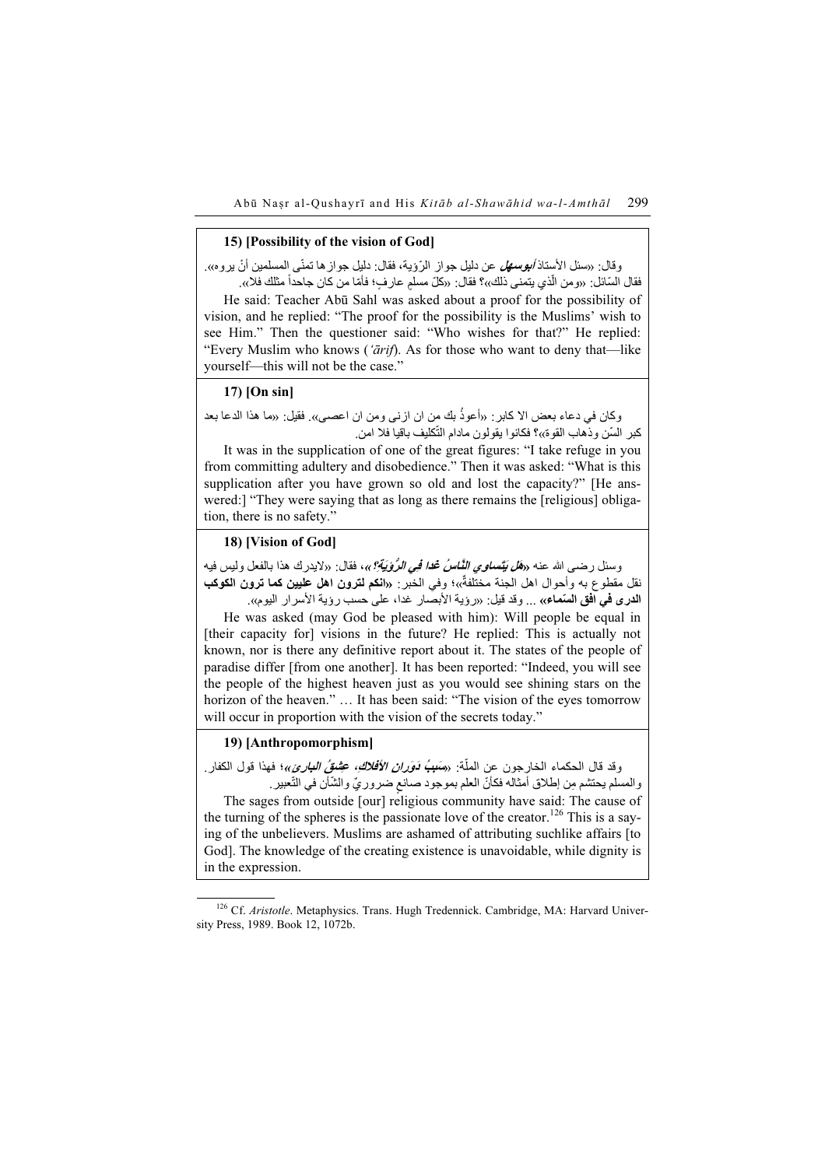### 15) [Possibility of the vision of God]

**.** <u>ّ</u> وقال: «سئل الأستاذ *أبوسهل عن* دليل جواز الرّوَية، فقال: دليل جواز ها تمنّي المسلمين أنْ يروه». وسائ: «سنن الاسند *الوستهن* عن نبين جوار الرويه، فعان: نبين جوار ها نمني المسلمين ان<br>فقال السّائل: «ومن الّذي يتمنى ذلك»؟ فقال: «كلّ مسلم عارفٍ؛ فأمّا من كان جاحداً مثلك فلا». ֧֖֚֚֚֝<br>֧֚֚֚֚֚֚֚֚֚֚֚֚֚֚֚֚֚֚֚֚֚֚֚֚֚֝<br>֧֧֚֚֝֝ .<br>.<br>.

He said: Teacher Abū Sahl was asked about a proof for the possibility of vision, and he replied: "The proof for the possibility is the Muslims' wish to see Him." Then the questioner said: "Who wishes for that?" He replied: "Every Muslim who knows ('ārif). As for those who want to deny that—like yourself—this will not be the case."

## 17) [On sin]

وكان في دعاء بعض اال كابر: « أعوذ بك من ان ازنى ومن ان اعصى». فقيل: «ما ھذا الدعا بعد ُونحال في دعاء بعض الا حابز : «اعود بنته من ال اربـي ومن الـ<br>كبر السّن وذهاب القوة»؟ فكانوا يقولون مادام التّكليف باقيا فلا امن

It was in the supplication of one of the great figures: "I take refuge in you from committing adultery and disobedience." Then it was asked: "What is this supplication after you have grown so old and lost the capacity?" [He answered:] "They were saying that as long as there remains the [religious] obligation, there is no safety."

## 18) [Vision of God]

وسئل رضـي الله عنه «*هَل يَتَّسلوي النَّـاسُ عُدا فِي الرُّوُيَةِ؟*»، فقال: «لايدرك هذا بالفعل وليس فيه وستل رضتي اللہ عليہ «*امل يصنوي الناس عد في الروپية: »،* قصن: ««نيدرت هذا بانقعل ونيس فيه<br>نقل مقطوع به وأحوال اهل الجنة مختلفةٌ»؛ وفي الخبر : «ا**نكم لترون اهل عليين كما ترون الكوكب** ا**لدرى في افق السّماء»** ... وقد قيل: «رؤية الأبصار غدا، على حسب رؤية الأسرار اليوم».

He was asked (may God be pleased with him): Will people be equal in [their capacity for] visions in the future? He replied: This is actually not known, nor is there any definitive report about it. The states of the people of paradise differ [from one another]. It has been reported: "Indeed, you will see the people of the highest heaven just as you would see shining stars on the horizon of the heaven." ... It has been said: "The vision of the eyes tomorrow will occur in proportion with the vision of the secrets today."

#### 19) [Anthropomorphism]

.<br>وقد قال الحكماء الخارجون عن الملَّة: «*مَعَبُ وَوَرانِ الأَفْلاكِ، عِشْقُ البارئ*»؛ فهذا قول الكفار. وت فان الخدماء الحارجون عن المله: «مُسيب *لوزان الاقلاع، حُصِلَّقِ البَارِيُ»*؛ لا<br>والمسلم يحتشم مِن إطلاق أمثاله فكأنّ العلم بموجود صانع ضروريّ والشّأن في النّعبير .

The sages from outside [our] religious community have said: The cause of the turning of the spheres is the passionate love of the creator.<sup>126</sup> This is a saying of the unbelievers. Muslims are ashamed of attributing suchlike affairs [to God]. The knowledge of the creating existence is unavoidable, while dignity is in the expression.

<sup>&</sup>lt;sup>126</sup> Cf. Aristotle. Metaphysics. Trans. Hugh Tredennick. Cambridge, MA: Harvard University Press, 1989. Book 12, 1072b.